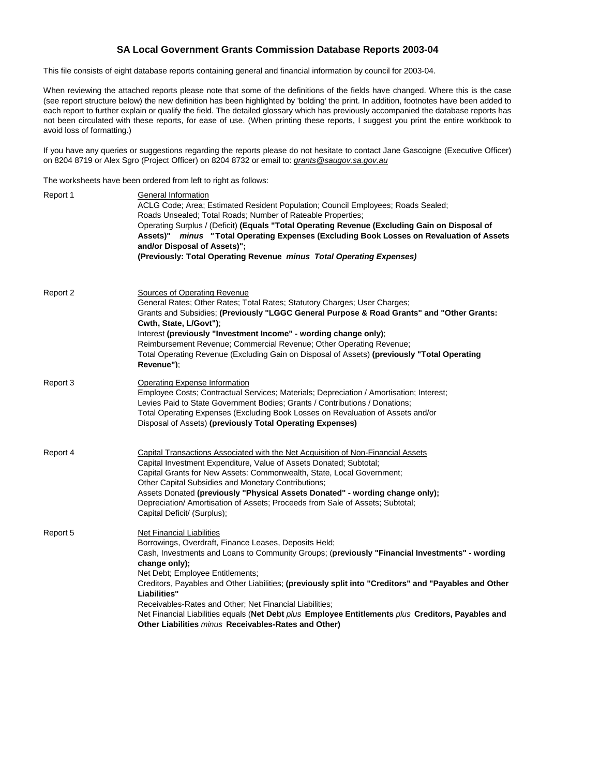## **SA Local Government Grants Commission Database Reports 2003-04**

This file consists of eight database reports containing general and financial information by council for 2003-04.

When reviewing the attached reports please note that some of the definitions of the fields have changed. Where this is the case (see report structure below) the new definition has been highlighted by 'bolding' the print. In addition, footnotes have been added to each report to further explain or qualify the field. The detailed glossary which has previously accompanied the database reports has not been circulated with these reports, for ease of use. (When printing these reports, I suggest you print the entire workbook to avoid loss of formatting.)

If you have any queries or suggestions regarding the reports please do not hesitate to contact Jane Gascoigne (Executive Officer) on 8204 8719 or Alex Sgro (Project Officer) on 8204 8732 or email to: grants@saugov.sa.gov.au

The worksheets have been ordered from left to right as follows:

| Report 1 | General Information<br>ACLG Code; Area; Estimated Resident Population; Council Employees; Roads Sealed;<br>Roads Unsealed; Total Roads; Number of Rateable Properties;<br>Operating Surplus / (Deficit) (Equals "Total Operating Revenue (Excluding Gain on Disposal of<br>Assets)" minus "Total Operating Expenses (Excluding Book Losses on Revaluation of Assets<br>and/or Disposal of Assets)";<br>(Previously: Total Operating Revenue minus Total Operating Expenses)                                                                                                                        |
|----------|----------------------------------------------------------------------------------------------------------------------------------------------------------------------------------------------------------------------------------------------------------------------------------------------------------------------------------------------------------------------------------------------------------------------------------------------------------------------------------------------------------------------------------------------------------------------------------------------------|
| Report 2 | Sources of Operating Revenue<br>General Rates; Other Rates; Total Rates; Statutory Charges; User Charges;<br>Grants and Subsidies; (Previously "LGGC General Purpose & Road Grants" and "Other Grants:<br>Cwth, State, L/Govt");<br>Interest (previously "Investment Income" - wording change only);<br>Reimbursement Revenue; Commercial Revenue; Other Operating Revenue;<br>Total Operating Revenue (Excluding Gain on Disposal of Assets) (previously "Total Operating<br>Revenue"):                                                                                                           |
| Report 3 | <b>Operating Expense Information</b><br>Employee Costs; Contractual Services; Materials; Depreciation / Amortisation; Interest;<br>Levies Paid to State Government Bodies; Grants / Contributions / Donations;<br>Total Operating Expenses (Excluding Book Losses on Revaluation of Assets and/or<br>Disposal of Assets) (previously Total Operating Expenses)                                                                                                                                                                                                                                     |
| Report 4 | Capital Transactions Associated with the Net Acquisition of Non-Financial Assets<br>Capital Investment Expenditure, Value of Assets Donated; Subtotal;<br>Capital Grants for New Assets: Commonwealth, State, Local Government;<br>Other Capital Subsidies and Monetary Contributions;<br>Assets Donated (previously "Physical Assets Donated" - wording change only);<br>Depreciation/ Amortisation of Assets; Proceeds from Sale of Assets; Subtotal;<br>Capital Deficit/ (Surplus);                                                                                                             |
| Report 5 | <b>Net Financial Liabilities</b><br>Borrowings, Overdraft, Finance Leases, Deposits Held;<br>Cash, Investments and Loans to Community Groups; (previously "Financial Investments" - wording<br>change only);<br>Net Debt; Employee Entitlements;<br>Creditors, Payables and Other Liabilities; (previously split into "Creditors" and "Payables and Other<br>Liabilities"<br>Receivables-Rates and Other; Net Financial Liabilities;<br>Net Financial Liabilities equals (Net Debt plus Employee Entitlements plus Creditors, Payables and<br>Other Liabilities minus Receivables-Rates and Other) |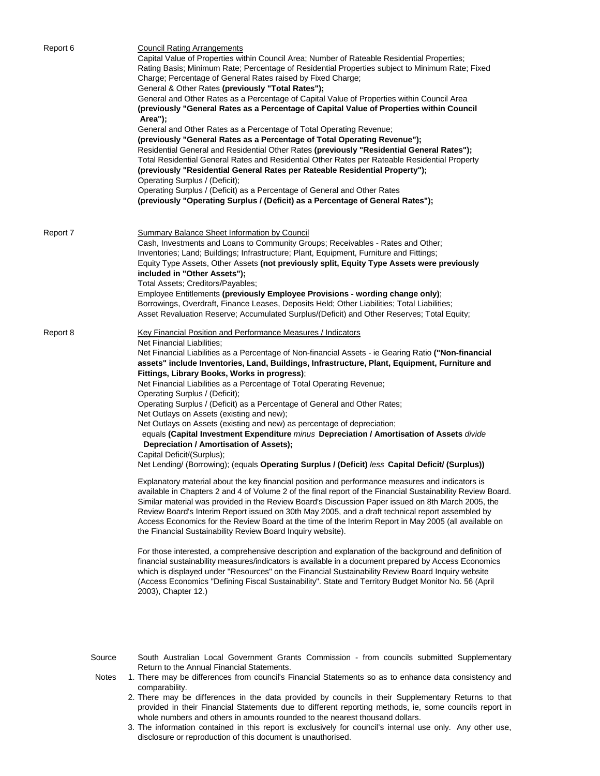| Report 6 | <b>Council Rating Arrangements</b><br>Capital Value of Properties within Council Area; Number of Rateable Residential Properties;<br>Rating Basis; Minimum Rate; Percentage of Residential Properties subject to Minimum Rate; Fixed<br>Charge; Percentage of General Rates raised by Fixed Charge;<br>General & Other Rates (previously "Total Rates");<br>General and Other Rates as a Percentage of Capital Value of Properties within Council Area<br>(previously "General Rates as a Percentage of Capital Value of Properties within Council<br>Area");<br>General and Other Rates as a Percentage of Total Operating Revenue;<br>(previously "General Rates as a Percentage of Total Operating Revenue");<br>Residential General and Residential Other Rates (previously "Residential General Rates");<br>Total Residential General Rates and Residential Other Rates per Rateable Residential Property<br>(previously "Residential General Rates per Rateable Residential Property");<br>Operating Surplus / (Deficit);<br>Operating Surplus / (Deficit) as a Percentage of General and Other Rates<br>(previously "Operating Surplus / (Deficit) as a Percentage of General Rates"); |
|----------|-----------------------------------------------------------------------------------------------------------------------------------------------------------------------------------------------------------------------------------------------------------------------------------------------------------------------------------------------------------------------------------------------------------------------------------------------------------------------------------------------------------------------------------------------------------------------------------------------------------------------------------------------------------------------------------------------------------------------------------------------------------------------------------------------------------------------------------------------------------------------------------------------------------------------------------------------------------------------------------------------------------------------------------------------------------------------------------------------------------------------------------------------------------------------------------------------|
| Report 7 | <b>Summary Balance Sheet Information by Council</b><br>Cash, Investments and Loans to Community Groups; Receivables - Rates and Other;<br>Inventories; Land; Buildings; Infrastructure; Plant, Equipment, Furniture and Fittings;<br>Equity Type Assets, Other Assets (not previously split, Equity Type Assets were previously<br>included in "Other Assets");<br>Total Assets; Creditors/Payables;<br>Employee Entitlements (previously Employee Provisions - wording change only);<br>Borrowings, Overdraft, Finance Leases, Deposits Held; Other Liabilities; Total Liabilities;<br>Asset Revaluation Reserve; Accumulated Surplus/(Deficit) and Other Reserves; Total Equity;                                                                                                                                                                                                                                                                                                                                                                                                                                                                                                            |
| Report 8 | Key Financial Position and Performance Measures / Indicators<br>Net Financial Liabilities;<br>Net Financial Liabilities as a Percentage of Non-financial Assets - ie Gearing Ratio ("Non-financial<br>assets" include Inventories, Land, Buildings, Infrastructure, Plant, Equipment, Furniture and<br>Fittings, Library Books, Works in progress);<br>Net Financial Liabilities as a Percentage of Total Operating Revenue;<br>Operating Surplus / (Deficit);<br>Operating Surplus / (Deficit) as a Percentage of General and Other Rates;<br>Net Outlays on Assets (existing and new);<br>Net Outlays on Assets (existing and new) as percentage of depreciation;<br>equals (Capital Investment Expenditure minus Depreciation / Amortisation of Assets divide<br>Depreciation / Amortisation of Assets);<br>Capital Deficit/(Surplus);<br>Net Lending/ (Borrowing); (equals Operating Surplus / (Deficit) less Capital Deficit/ (Surplus))                                                                                                                                                                                                                                                 |
|          | Explanatory material about the key financial position and performance measures and indicators is<br>available in Chapters 2 and 4 of Volume 2 of the final report of the Financial Sustainability Review Board.<br>Similar material was provided in the Review Board's Discussion Paper issued on 8th March 2005, the<br>Review Board's Interim Report issued on 30th May 2005, and a draft technical report assembled by<br>Access Economics for the Review Board at the time of the Interim Report in May 2005 (all available on<br>the Financial Sustainability Review Board Inquiry website).                                                                                                                                                                                                                                                                                                                                                                                                                                                                                                                                                                                             |
|          | For those interested, a comprehensive description and explanation of the background and definition of<br>financial sustainability measures/indicators is available in a document prepared by Access Economics<br>which is displayed under "Resources" on the Financial Sustainability Review Board Inquiry website<br>(Access Economics "Defining Fiscal Sustainability". State and Territory Budget Monitor No. 56 (April<br>2003), Chapter 12.)                                                                                                                                                                                                                                                                                                                                                                                                                                                                                                                                                                                                                                                                                                                                             |
| Source   | South Australian Local Government Grants Commission - from councils submitted Supplementary<br>Return to the Annual Financial Statements.                                                                                                                                                                                                                                                                                                                                                                                                                                                                                                                                                                                                                                                                                                                                                                                                                                                                                                                                                                                                                                                     |

- Notes 1. There may be differences from council's Financial Statements so as to enhance data consistency and comparability.
	- 2. There may be differences in the data provided by councils in their Supplementary Returns to that provided in their Financial Statements due to different reporting methods, ie, some councils report in whole numbers and others in amounts rounded to the nearest thousand dollars.
	- 3. The information contained in this report is exclusively for council's internal use only. Any other use, disclosure or reproduction of this document is unauthorised.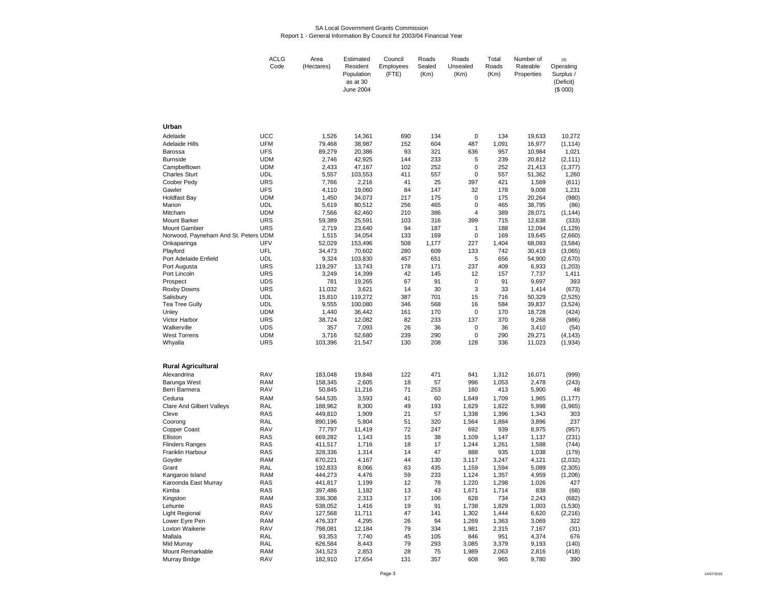### SA Local Government Grants CommissionReport 1 - General Information By Council for 2003/04 Financial Year

| ACLG | Area       | Estimated  | Council   | Roads  | Roads    | Total | Number of  | (4)       |
|------|------------|------------|-----------|--------|----------|-------|------------|-----------|
| Code | (Hectares) | Resident   | Employees | Sealed | Unsealed | Roads | Rateable   | Operating |
|      |            | Population | (FTE)     | (Km)   | (Km)     | (Km)  | Properties | Surplus / |
|      |            | as at 30   |           |        |          |       |            | (Deficit) |
|      |            | June 2004  |           |        |          |       |            | $(S$ 000) |

| Urban                                |                          |         |                   |          |           |                   |           |        |          |
|--------------------------------------|--------------------------|---------|-------------------|----------|-----------|-------------------|-----------|--------|----------|
| Adelaide                             | <b>UCC</b>               | 1,526   | 14,361            | 690      | 134       | 0                 | 134       | 19,633 | 10,272   |
| <b>Adelaide Hills</b>                | <b>UFM</b>               | 79,468  | 38,987            | 152      | 604       | 487               | 1,091     | 16,977 | (1, 114) |
| Barossa                              | <b>UFS</b>               | 89,279  | 20,386            | 93       | 321       | 636               | 957       | 10,984 | 1,021    |
| <b>Burnside</b>                      | <b>UDM</b>               | 2,746   | 42,925            | 144      | 233       | 5                 | 239       | 20,812 | (2, 111) |
| Campbelltown                         | <b>UDM</b>               | 2,433   | 47,167            | 102      | 252       | $\mathbf 0$       | 252       | 21,413 | (1, 377) |
| <b>Charles Sturt</b>                 | UDL                      | 5,557   | 103,553           | 411      | 557       | $\mathbf 0$       | 557       | 51,362 | 1,260    |
| Coober Pedy                          | <b>URS</b>               | 7,766   | 2,216             | 41       | 25        | 397               | 421       | 1,569  | (611)    |
| Gawler                               | <b>UFS</b>               | 4,110   | 19,060            | 84       | 147       | 32                | 178       | 9,008  | 1,231    |
| <b>Holdfast Bay</b>                  | <b>UDM</b>               | 1,450   | 34,073            | 217      | 175       | $\mathbf 0$       | 175       | 20,264 | (980)    |
| Marion                               | <b>UDL</b>               | 5,619   | 80,512            | 256      | 465       | $\mathbf 0$       | 465       | 38,795 | (86)     |
| Mitcham                              | <b>UDM</b>               | 7,566   | 62,460            | 210      | 386       | $\overline{4}$    | 389       | 28,071 | (1, 144) |
| <b>Mount Barker</b>                  | <b>URS</b>               | 59,389  | 25,591            | 103      | 316       | 399               | 715       | 12,638 | (333)    |
| <b>Mount Gambier</b>                 | <b>URS</b>               | 2,719   | 23,640            | 94       | 187       | $\mathbf{1}$      | 188       | 12,094 | (1, 129) |
| Norwood, Payneham And St. Peters UDM |                          | 1,515   | 34,054            | 133      | 169       | $\mathbf 0$       | 169       | 19,645 | (2,660)  |
| Onkaparinga                          | UFV                      | 52,029  |                   | 508      | 1,177     | 227               | 1,404     | 68,093 | (3,584)  |
| Playford                             | UFL                      | 34,473  | 153,496<br>70,602 | 280      | 609       | 133               | 742       |        |          |
|                                      | <b>UDL</b>               |         |                   | 457      | 651       | 5                 | 656       | 30,419 | (3,065)  |
| Port Adelaide Enfield                |                          | 9,324   | 103,830           |          |           | 237               |           | 54,900 | (2,670)  |
| Port Augusta                         | <b>URS</b>               | 119,297 | 13,743            | 178      | 171       |                   | 409       | 6,933  | (1,203)  |
| Port Lincoln                         | <b>URS</b><br><b>UDS</b> | 3,249   | 14,399            | 42<br>67 | 145<br>91 | 12<br>$\mathbf 0$ | 157<br>91 | 7,737  | 1,411    |
| Prospect                             |                          | 781     | 19,265            |          |           |                   |           | 9,697  | 393      |
| Roxby Downs                          | <b>URS</b>               | 11,032  | 3,621             | 14       | 30        | 3                 | 33        | 1,414  | (673)    |
| Salisbury                            | <b>UDL</b>               | 15,810  | 119,272           | 387      | 701       | 15                | 716       | 50,329 | (2,525)  |
| Tea Tree Gully                       | <b>UDL</b>               | 9,555   | 100,080           | 346      | 568       | 16                | 584       | 39,837 | (3,524)  |
| Unley                                | <b>UDM</b>               | 1,440   | 36,442            | 161      | 170       | $\mathbf 0$       | 170       | 18,728 | (424)    |
| Victor Harbor                        | <b>URS</b>               | 38,724  | 12,082            | 82       | 233       | 137               | 370       | 9,268  | (986)    |
| Walkerville                          | <b>UDS</b>               | 357     | 7,093             | 26       | 36        | $\mathbf 0$       | 36        | 3,410  | (54)     |
| <b>West Torrens</b>                  | <b>UDM</b>               | 3,716   | 52,680            | 239      | 290       | $\Omega$          | 290       | 29,271 | (4, 143) |
| Whyalla                              | <b>URS</b>               | 103,396 | 21,547            | 130      | 208       | 128               | 336       | 11,023 | (1,934)  |
|                                      |                          |         |                   |          |           |                   |           |        |          |
| <b>Rural Agricultural</b>            |                          |         |                   |          |           |                   |           |        |          |
| Alexandrina                          | <b>RAV</b>               | 183,048 | 19,848            | 122      | 471       | 841               | 1,312     | 16,071 | (999)    |
| Barunga West                         | <b>RAM</b>               | 158,345 | 2,605             | 18       | 57        | 996               | 1,053     | 2,478  | (243)    |
| Berri Barmera                        | <b>RAV</b>               | 50,845  | 11,216            | 71       | 253       | 160               | 413       | 5,900  | 48       |
| Ceduna                               | <b>RAM</b>               | 544,535 | 3,593             | 41       | 60        | 1,649             | 1,709     | 1,965  | (1, 177) |
| <b>Clare And Gilbert Valleys</b>     | RAL                      | 188,962 | 8,300             | 49       | 193       | 1,629             | 1,822     | 5,998  | (1,965)  |
| Cleve                                | <b>RAS</b>               | 449,810 | 1,909             | 21       | 57        | 1,338             | 1,396     | 1,343  | 303      |
| Coorong                              | RAL                      | 890,196 | 5,804             | 51       | 320       | 1,564             | 1,884     | 3,896  | 237      |
| Copper Coast                         | <b>RAV</b>               | 77,797  | 11,419            | 72       | 247       | 692               | 939       | 8,975  | (957)    |
| Elliston                             | <b>RAS</b>               | 669,282 | 1,143             | 15       | 38        | 1,109             | 1,147     | 1,137  | (231)    |
| <b>Flinders Ranges</b>               | <b>RAS</b>               | 411,517 | 1,716             | 18       | 17        | 1,244             | 1,261     | 1,588  | (744)    |
| Franklin Harbour                     | <b>RAS</b>               | 328,336 | 1,314             | 14       | 47        | 888               | 935       | 1,038  | (179)    |
| Goyder                               | <b>RAM</b>               | 670,221 | 4,167             | 44       | 130       | 3,117             | 3,247     | 4,121  | (2,032)  |
| Grant                                | RAL                      | 192,833 | 8,066             | 63       | 435       | 1,159             | 1,594     | 5,089  | (2,305)  |
| Kangaroo Island                      | <b>RAM</b>               | 444,273 | 4,476             | 59       | 233       | 1,124             | 1,357     | 4,959  | (1,206)  |
| Karoonda East Murray                 | <b>RAS</b>               | 441,817 | 1,199             | 12       | 78        | 1,220             | 1,298     | 1,026  | 427      |
| Kimba                                | <b>RAS</b>               | 397,486 | 1,182             | 13       | 43        | 1,671             | 1,714     | 838    | (68)     |
| Kingston                             | <b>RAM</b>               | 336,308 | 2,313             | 17       | 106       | 628               | 734       | 2,243  | (682)    |
| Lehunte                              | <b>RAS</b>               | 538,052 | 1,416             | 19       | 91        | 1,738             | 1,829     | 1,003  | (1,530)  |
| Light Regional                       | <b>RAV</b>               | 127,568 | 11,711            | 47       | 141       | 1,302             | 1,444     | 6,620  | (2, 216) |
| Lower Eyre Pen                       | <b>RAM</b>               | 476,337 | 4,295             | 26       | 94        | 1,269             | 1,363     | 3,069  | 322      |
| Loxton Waikerie                      | <b>RAV</b>               | 798,081 | 12,184            | 79       | 334       | 1,981             | 2,315     | 7,167  | (31)     |
| Mallala                              | RAL                      | 93,353  | 7,740             | 45       | 105       | 846               | 951       | 4,374  | 676      |
| Mid Murray                           | RAL                      | 626,584 | 8,443             | 79       | 293       | 3,085             | 3,379     | 9,193  | (140)    |
| Mount Remarkable                     | <b>RAM</b>               | 341,523 | 2,853             | 28       | 75        | 1,989             | 2.063     | 2,816  | (418)    |
| Murray Bridge                        | <b>RAV</b>               | 182,910 | 17,654            | 131      | 357       | 608               | 965       | 9,780  | 390      |
|                                      |                          |         |                   |          |           |                   |           |        |          |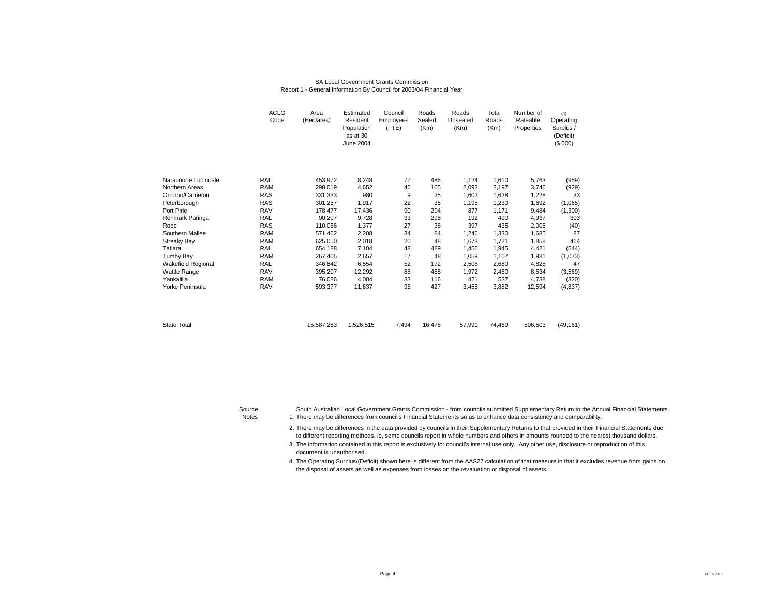### SA Local Government Grants CommissionReport 1 - General Information By Council for 2003/04 Financial Year

|                           | <b>ACLG</b><br>Code | Area<br>(Hectares) | Estimated<br>Resident<br>Population<br>as at 30<br>June 2004 | Council<br>Employees<br>(FTE) | Roads<br>Sealed<br>(Km) | Roads<br>Unsealed<br>(Km) | Total<br>Roads<br>(Km) | Number of<br>Rateable<br>Properties | (4)<br>Operating<br>Surplus /<br>(Deficit)<br>(\$000) |
|---------------------------|---------------------|--------------------|--------------------------------------------------------------|-------------------------------|-------------------------|---------------------------|------------------------|-------------------------------------|-------------------------------------------------------|
| Naracoorte Lucindale      | <b>RAL</b>          | 453,972            | 8,248                                                        | 77                            | 486                     | 1,124                     | 1,610                  | 5,763                               | (959)                                                 |
| Northern Areas            | <b>RAM</b>          | 298,019            | 4,652                                                        | 46                            | 105                     | 2,092                     | 2,197                  | 3,746                               | (929)                                                 |
| Orroroo/Carrieton         | <b>RAS</b>          | 331,333            | 980                                                          | 9                             | 25                      | 1.602                     | 1,628                  | 1,228                               | 33                                                    |
| Peterborough              | <b>RAS</b>          | 301,257            | 1,917                                                        | 22                            | 35                      | 1,195                     | 1,230                  | 1,692                               | (1,065)                                               |
| Port Pirie                | <b>RAV</b>          | 178,477            | 17,436                                                       | 90                            | 294                     | 877                       | 1,171                  | 9,484                               | (1,300)                                               |
| Renmark Paringa           | <b>RAL</b>          | 90.207             | 9.728                                                        | 33                            | 298                     | 192                       | 490                    | 4.937                               | 303                                                   |
| Robe                      | <b>RAS</b>          | 110,056            | 1,377                                                        | 27                            | 38                      | 397                       | 435                    | 2,006                               | (40)                                                  |
| Southern Mallee           | <b>RAM</b>          | 571,462            | 2,208                                                        | 34                            | 84                      | 1,246                     | 1,330                  | 1,685                               | 87                                                    |
| <b>Streaky Bay</b>        | <b>RAM</b>          | 625,050            | 2,018                                                        | 20                            | 48                      | 1,673                     | 1,721                  | 1,858                               | 464                                                   |
| Tatiara                   | <b>RAL</b>          | 654,188            | 7,104                                                        | 48                            | 489                     | 1,456                     | 1,945                  | 4,421                               | (544)                                                 |
| <b>Tumby Bay</b>          | <b>RAM</b>          | 267,405            | 2,657                                                        | 17                            | 48                      | 1,059                     | 1,107                  | 1,981                               | (1,073)                                               |
| <b>Wakefield Regional</b> | RAL                 | 346,842            | 6,554                                                        | 52                            | 172                     | 2,508                     | 2,680                  | 4,825                               | 47                                                    |
| <b>Wattle Range</b>       | <b>RAV</b>          | 395,207            | 12,292                                                       | 88                            | 488                     | 1,972                     | 2,460                  | 8,534                               | (3,569)                                               |
| Yankalilla                | <b>RAM</b>          | 76,086             | 4,004                                                        | 33                            | 116                     | 421                       | 537                    | 4,738                               | (320)                                                 |
| Yorke Peninsula           | <b>RAV</b>          | 593,377            | 11,637                                                       | 95                            | 427                     | 3,455                     | 3,882                  | 12,594                              | (4,837)                                               |
| <b>State Total</b>        |                     | 15,587,283         | 1,526,515                                                    | 7,494                         | 16,478                  | 57,991                    | 74,469                 | 806,503                             | (49, 161)                                             |

Source

South Australian Local Government Grants Commission - from councils submitted Supplementary Return to the Annual Financial Statements.

Notes 1. There may be differences from council's Financial Statements so as to enhance data consistency and comparability.

> 2. There may be differences in the data provided by councils in their Supplementary Returns to that provided in their Financial Statements due to different reporting methods, ie, some councils report in whole numbers and others in amounts rounded to the nearest thousand dollars.

3.The information contained in this report is exclusively for council's internal use only. Any other use, disclosure or reproduction of this document is unauthorised.

4. The Operating Surplus/(Deficit) shown here is different from the AAS27 calculation of that measure in that it excludes revenue from gains on the disposal of assets as well as expenses from losses on the revaluation or disposal of assets.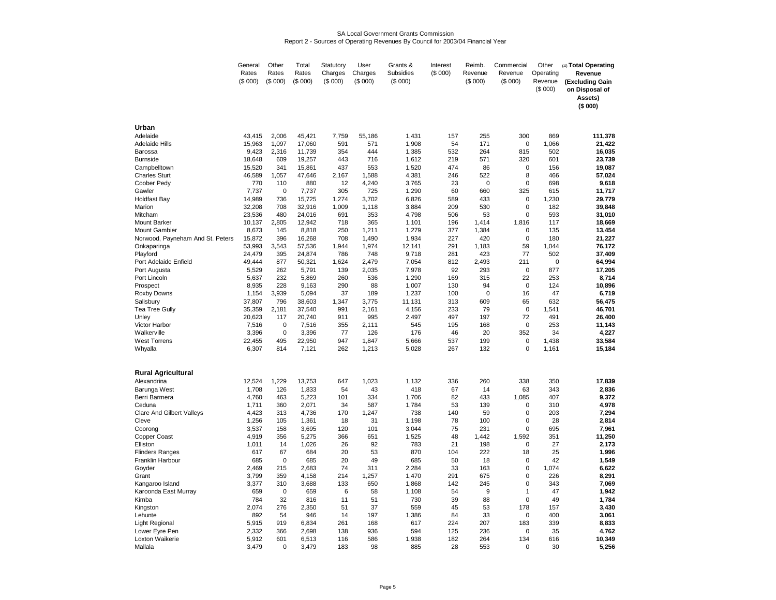### SA Local Government Grants CommissionReport 2 - Sources of Operating Revenues By Council for 2003/04 Financial Year

|                                  | General | Other       | Total   | Statutory  | User       | Grants &   | Interest   | Reimb.      | Commercial  | Other     | (4) Total Operating |
|----------------------------------|---------|-------------|---------|------------|------------|------------|------------|-------------|-------------|-----------|---------------------|
|                                  | Rates   | Rates       | Rates   | Charges    | Charges    | Subsidies  | (\$000)    | Revenue     | Revenue     | Operating | Revenue             |
|                                  | (S 000) | (S 000)     | (S 000) | (\$000)    | (\$000)    | (\$000)    |            | (S 000)     | (S 000)     | Revenue   | (Excluding Gain     |
|                                  |         |             |         |            |            |            |            |             |             | (\$000)   | on Disposal of      |
|                                  |         |             |         |            |            |            |            |             |             |           | Assets)             |
|                                  |         |             |         |            |            |            |            |             |             |           | (\$000)             |
|                                  |         |             |         |            |            |            |            |             |             |           |                     |
|                                  |         |             |         |            |            |            |            |             |             |           |                     |
| Urban                            |         |             |         |            |            |            |            |             |             |           |                     |
| Adelaide                         | 43,415  | 2,006       | 45,421  | 7,759      | 55,186     | 1,431      | 157        | 255         | 300         | 869       | 111,378             |
| <b>Adelaide Hills</b>            | 15,963  | 1,097       | 17,060  | 591        | 571        | 1,908      | 54         | 171         | 0           | 1,066     | 21,422              |
| Barossa                          | 9,423   | 2,316       | 11,739  | 354        | 444        | 1,385      | 532        | 264         | 815         | 502       | 16,035              |
| <b>Burnside</b>                  | 18,648  | 609         | 19,257  | 443        | 716        | 1,612      | 219        | 571         | 320         | 601       | 23,739              |
| Campbelltown                     | 15,520  | 341         | 15,861  | 437        | 553        | 1,520      | 474        | 86          | 0           | 156       | 19,087              |
| <b>Charles Sturt</b>             | 46,589  | 1,057       | 47,646  | 2,167      | 1,588      | 4,381      | 246        | 522         | 8           | 466       | 57,024              |
| Coober Pedy                      | 770     | 110         | 880     | 12         | 4,240      | 3,765      | 23         | 0           | 0           | 698       | 9,618               |
| Gawler                           | 7,737   | $\mathbf 0$ | 7,737   | 305        | 725        | 1,290      | 60         | 660         | 325         | 615       | 11,717              |
| <b>Holdfast Bay</b>              | 14,989  | 736         | 15,725  | 1,274      | 3,702      | 6,826      | 589        | 433         | 0           | 1,230     | 29,779              |
| Marion                           | 32,208  | 708         | 32,916  | 1,009      | 1,118      | 3,884      | 209        | 530         | 0           | 182       | 39,848              |
| Mitcham                          | 23,536  | 480         | 24,016  | 691        | 353        | 4,798      | 506        | 53          | $\mathbf 0$ | 593       | 31,010              |
| <b>Mount Barker</b>              | 10,137  | 2,805       | 12,942  | 718        | 365        | 1,101      | 196        | 1,414       | 1,816       | 117       | 18,669              |
| <b>Mount Gambier</b>             | 8,673   | 145         | 8,818   | 250        | 1,211      | 1,279      | 377        | 1,384       | $\mathbf 0$ | 135       | 13,454              |
| Norwood, Payneham And St. Peters | 15,872  | 396         | 16,268  | 708        | 1,490      | 1,934      | 227        | 420         | $\mathbf 0$ | 180       | 21,227              |
| Onkaparinga                      | 53,993  | 3,543       | 57,536  | 1,944      | 1,974      | 12,141     | 291        | 1,183       | 59          | 1,044     | 76,172              |
| Playford                         | 24,479  | 395         | 24,874  | 786        | 748        | 9,718      | 281        | 423         | 77          | 502       | 37,409              |
| Port Adelaide Enfield            | 49,444  | 877         | 50,321  | 1,624      | 2,479      | 7,054      | 812        | 2,493       | 211         | 0         | 64,994              |
| Port Augusta                     | 5,529   | 262         | 5,791   | 139        | 2,035      | 7,978      | 92         | 293         | 0           | 877       | 17,205              |
| Port Lincoln                     | 5,637   | 232         | 5,869   | 260        | 536        | 1,290      | 169        | 315         | 22          | 253       | 8,714               |
| Prospect                         | 8,935   | 228         | 9,163   | 290        | 88         | 1,007      | 130        | 94          | $\mathbf 0$ | 124       | 10,896              |
| Roxby Downs                      | 1,154   | 3,939       | 5,094   | 37         | 189        | 1,237      | 100        | $\mathbf 0$ | 16          | 47        | 6,719               |
| Salisbury                        | 37,807  | 796         | 38,603  | 1,347      | 3,775      | 11,131     | 313        | 609         | 65          | 632       | 56,475              |
| <b>Tea Tree Gully</b>            | 35,359  | 2,181       | 37,540  | 991        | 2,161      | 4,156      | 233        | 79          | $\mathbf 0$ | 1,541     | 46,701              |
| Unley                            | 20,623  | 117         | 20,740  | 911        | 995        | 2,497      | 497        | 197         | 72          | 491       | 26,400              |
| <b>Victor Harbor</b>             | 7,516   | $\mathbf 0$ | 7,516   | 355        | 2,111      | 545        | 195        | 168         | $\mathbf 0$ | 253       | 11,143              |
| Walkerville                      | 3,396   | 0           | 3,396   | 77         | 126        | 176        | 46         | 20          | 352         | 34        | 4,227               |
| <b>West Torrens</b>              | 22,455  | 495         | 22,950  | 947        | 1,847      | 5,666      | 537        | 199         | 0           | 1,438     | 33,584              |
| Whyalla                          | 6,307   | 814         | 7,121   | 262        | 1,213      | 5,028      | 267        | 132         | $\mathbf 0$ | 1,161     | 15,184              |
|                                  |         |             |         |            |            |            |            |             |             |           |                     |
|                                  |         |             |         |            |            |            |            |             |             |           |                     |
| <b>Rural Agricultural</b>        |         |             |         |            |            |            |            |             |             |           |                     |
| Alexandrina                      | 12,524  | 1,229       | 13,753  | 647        | 1,023      | 1,132      | 336        | 260         | 338         | 350       | 17,839              |
| Barunga West                     | 1,708   | 126         | 1,833   | 54         | 43         | 418        | 67         | 14          | 63          | 343       | 2,836               |
| Berri Barmera                    | 4,760   | 463         | 5,223   | 101        | 334        | 1,706      | 82         | 433         | 1,085       | 407       | 9,372               |
| Ceduna                           | 1,711   | 360         | 2.071   | 34         | 587        | 1,784      | 53         | 139         | $\mathbf 0$ | 310       | 4,978               |
| <b>Clare And Gilbert Valleys</b> | 4,423   | 313         | 4,736   | 170        | 1,247      | 738        | 140        | 59          | 0           | 203       | 7,294               |
| Cleve                            | 1,256   | 105         | 1,361   | 18         | 31         | 1,198      | 78         | 100         | 0           | 28        | 2,814               |
| Coorong                          | 3,537   | 158         | 3,695   | 120        | 101        | 3,044      | 75         | 231         | $\mathbf 0$ | 695       | 7,961               |
| Copper Coast                     | 4,919   | 356         | 5,275   | 366        | 651        | 1,525      | 48         | 1,442       | 1,592       | 351       | 11,250              |
| Elliston                         | 1,011   | 14          | 1,026   | 26         | 92         | 783        | 21         | 198         | 0           | 27        | 2,173               |
| <b>Flinders Ranges</b>           | 617     | 67          | 684     | 20         | 53         | 870        | 104        | 222         | 18          | 25        | 1,996               |
| Franklin Harbour                 | 685     | $\mathbf 0$ | 685     | 20<br>74   | 49<br>311  | 685        | 50         | 18          | 0           | 42        | 1,549               |
| Goyder                           | 2,469   | 215         | 2,683   |            |            | 2,284      | 33         | 163         | $\mathbf 0$ | 1,074     | 6,622               |
| Grant                            | 3,799   | 359         | 4,158   | 214        | 1,257      | 1,470      | 291        | 675         | $\Omega$    | 226       | 8,291               |
| Kangaroo Island                  | 3,377   | 310         | 3,688   | 133        | 650        | 1,868      | 142        | 245         | 0           | 343       | 7,069               |
| Karoonda East Murray             | 659     | 0           | 659     | 6          | 58         | 1,108      | 54         | 9           | 1           | 47        | 1,942               |
| Kimba                            | 784     | 32          | 816     | 11         | 51         | 730        | 39         | 88          | $\mathbf 0$ | 49        | 1,784               |
| Kingston                         | 2,074   | 276         | 2,350   | 51         | 37         | 559        | 45         | 53          | 178         | 157       | 3,430               |
| Lehunte                          | 892     | 54          | 946     | 14         | 197        | 1,386      | 84         | 33          | 0           | 400       | 3,061               |
| Light Regional                   | 5,915   | 919         | 6,834   | 261        | 168        | 617<br>594 | 224        | 207         | 183         | 339       | 8,833               |
| Lower Eyre Pen                   | 2.332   | 366<br>601  | 2.698   | 138<br>116 | 936<br>586 | 1,938      | 125<br>182 | 236<br>264  | 0<br>134    | 35<br>616 | 4,762<br>10,349     |
| Loxton Waikerie                  | 5,912   | 0           | 6,513   |            |            |            |            |             | $\mathbf 0$ |           |                     |
| Mallala                          | 3,479   |             | 3,479   | 183        | 98         | 885        | 28         | 553         |             | 30        | 5,256               |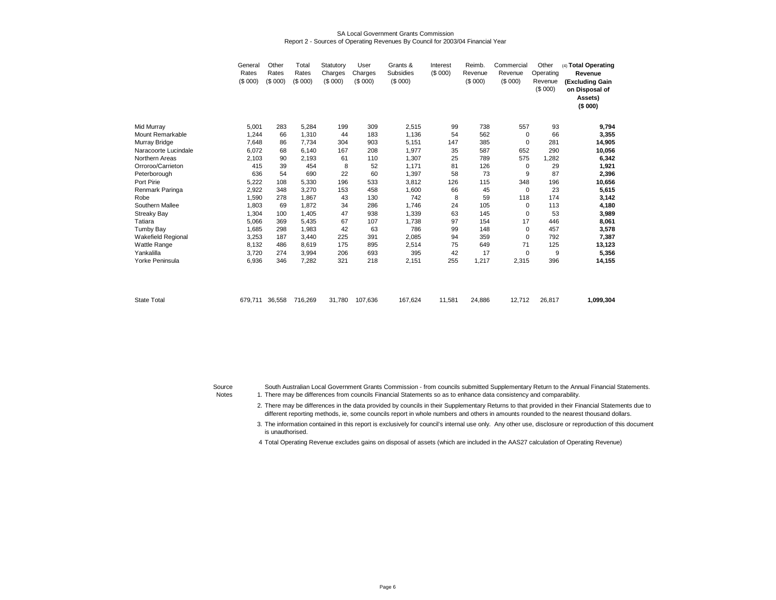### SA Local Government Grants CommissionReport 2 - Sources of Operating Revenues By Council for 2003/04 Financial Year

|                      | General<br>Rates<br>(\$000) | Other<br>Rates<br>(S 000) | Total<br>Rates<br>(\$000) | Statutory<br>Charges<br>(\$000) | User<br>Charges<br>(\$000) | Grants &<br>Subsidies<br>(S 000) | Interest<br>(\$000) | Reimb.<br>Revenue<br>(S 000) | Commercial<br>Revenue<br>(S 000) | Other<br>Operating<br>Revenue<br>(\$000) | (4) Total Operating<br>Revenue<br>(Excluding Gain<br>on Disposal of<br>Assets)<br>(\$000) |
|----------------------|-----------------------------|---------------------------|---------------------------|---------------------------------|----------------------------|----------------------------------|---------------------|------------------------------|----------------------------------|------------------------------------------|-------------------------------------------------------------------------------------------|
| Mid Murray           | 5,001                       | 283                       | 5,284                     | 199                             | 309                        | 2,515                            | 99                  | 738                          | 557                              | 93                                       | 9,794                                                                                     |
| Mount Remarkable     | 1.244                       | 66                        | 1,310                     | 44                              | 183                        | 1,136                            | 54                  | 562                          | $\mathbf 0$                      | 66                                       | 3,355                                                                                     |
| Murray Bridge        | 7,648                       | 86                        | 7,734                     | 304                             | 903                        | 5,151                            | 147                 | 385                          | $\mathbf 0$                      | 281                                      | 14,905                                                                                    |
| Naracoorte Lucindale | 6,072                       | 68                        | 6.140                     | 167                             | 208                        | 1,977                            | 35                  | 587                          | 652                              | 290                                      | 10,056                                                                                    |
| Northern Areas       | 2,103                       | 90                        | 2,193                     | 61                              | 110                        | 1,307                            | 25                  | 789                          | 575                              | 1,282                                    | 6,342                                                                                     |
| Orroroo/Carrieton    | 415                         | 39                        | 454                       | 8                               | 52                         | 1,171                            | 81                  | 126                          | $\mathbf 0$                      | 29                                       | 1,921                                                                                     |
| Peterborough         | 636                         | 54                        | 690                       | 22                              | 60                         | 1,397                            | 58                  | 73                           | 9                                | 87                                       | 2,396                                                                                     |
| Port Pirie           | 5,222                       | 108                       | 5,330                     | 196                             | 533                        | 3,812                            | 126                 | 115                          | 348                              | 196                                      | 10,656                                                                                    |
| Renmark Paringa      | 2,922                       | 348                       | 3,270                     | 153                             | 458                        | 1,600                            | 66                  | 45                           | 0                                | 23                                       | 5,615                                                                                     |
| Robe                 | 1,590                       | 278                       | 1,867                     | 43                              | 130                        | 742                              | 8                   | 59                           | 118                              | 174                                      | 3,142                                                                                     |
| Southern Mallee      | 1.803                       | 69                        | 1.872                     | 34                              | 286                        | 1,746                            | 24                  | 105                          | $\mathbf 0$                      | 113                                      | 4,180                                                                                     |
| Streaky Bay          | 1,304                       | 100                       | 1.405                     | 47                              | 938                        | 1,339                            | 63                  | 145                          | $\Omega$                         | 53                                       | 3,989                                                                                     |
| Tatiara              | 5,066                       | 369                       | 5,435                     | 67                              | 107                        | 1,738                            | 97                  | 154                          | 17                               | 446                                      | 8,061                                                                                     |
| Tumby Bay            | 1.685                       | 298                       | 1,983                     | 42                              | 63                         | 786                              | 99                  | 148                          | 0                                | 457                                      | 3,578                                                                                     |
| Wakefield Regional   | 3,253                       | 187                       | 3,440                     | 225                             | 391                        | 2,085                            | 94                  | 359                          | $\mathbf 0$                      | 792                                      | 7,387                                                                                     |
| Wattle Range         | 8,132                       | 486                       | 8,619                     | 175                             | 895                        | 2,514                            | 75                  | 649                          | 71                               | 125                                      | 13,123                                                                                    |
| Yankalilla           | 3,720                       | 274                       | 3,994                     | 206                             | 693                        | 395                              | 42                  | 17                           | $\mathbf 0$                      | 9                                        | 5,356                                                                                     |
| Yorke Peninsula      | 6,936                       | 346                       | 7,282                     | 321                             | 218                        | 2,151                            | 255                 | 1,217                        | 2,315                            | 396                                      | 14,155                                                                                    |
| <b>State Total</b>   | 679,711                     | 36,558                    | 716,269                   | 31,780                          | 107,636                    | 167,624                          | 11,581              | 24,886                       | 12,712                           | 26,817                                   | 1,099,304                                                                                 |

Source

There may be differences from councils Financial Statements so as to enhance data consistency and comparability.South Australian Local Government Grants Commission - from councils submitted Supplementary Return to the Annual Financial Statements.

Notes 1.

2. There may be differences in the data provided by councils in their Supplementary Returns to that provided in their Financial Statements due to different reporting methods, ie, some councils report in whole numbers and others in amounts rounded to the nearest thousand dollars.

3.The information contained in this report is exclusively for council's internal use only. Any other use, disclosure or reproduction of this document is unauthorised.

<sup>4</sup> Total Operating Revenue excludes gains on disposal of assets (which are included in the AAS27 calculation of Operating Revenue)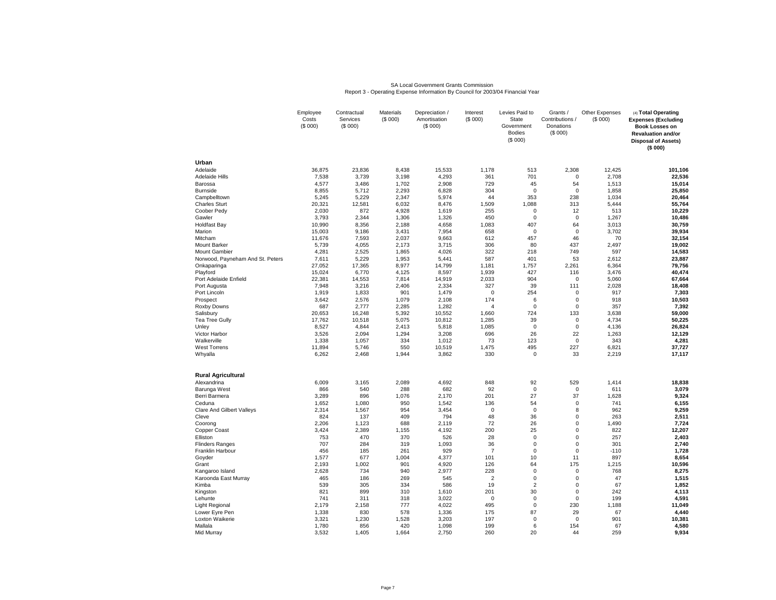# SA Local Government Grants Commission Report 3 - Operating Expense Information By Council for 2003/04 Financial Year

|                                                 | Employee<br>Costs<br>(\$000) | Contractual<br>Services<br>(\$000) | Materials<br>(S 000) | Depreciation /<br>Amortisation<br>(\$000) | Interest<br>(\$000)     | Levies Paid to<br>State<br>Government<br><b>Bodies</b><br>(\$000) | Grants /<br>Contributions<br>Donations<br>(\$000) | Other Expenses<br>(\$000) | (4) Total Operating<br><b>Expenses (Excluding</b><br><b>Book Losses on</b><br><b>Revaluation and/or</b><br><b>Disposal of Assets)</b><br>(\$ 000) |
|-------------------------------------------------|------------------------------|------------------------------------|----------------------|-------------------------------------------|-------------------------|-------------------------------------------------------------------|---------------------------------------------------|---------------------------|---------------------------------------------------------------------------------------------------------------------------------------------------|
| Urban                                           |                              |                                    |                      |                                           |                         |                                                                   |                                                   |                           |                                                                                                                                                   |
| Adelaide                                        | 36,875                       | 23,836                             | 8,438                | 15,533                                    | 1,178                   | 513                                                               | 2,308                                             | 12,425                    | 101,106                                                                                                                                           |
| <b>Adelaide Hills</b>                           | 7,538                        | 3,739                              | 3,198                | 4,293                                     | 361                     | 701                                                               | $\Omega$                                          | 2,708                     | 22,536                                                                                                                                            |
| Barossa                                         | 4,577                        | 3,486                              | 1,702                | 2,908                                     | 729                     | 45                                                                | 54                                                | 1,513                     | 15,014                                                                                                                                            |
| <b>Burnside</b>                                 | 8,855                        | 5,712<br>5,229                     | 2,293                | 6,828                                     | 304                     | $\mathbf 0$<br>353                                                | $\mathbf 0$<br>238                                | 1,858<br>1,034            | 25,850                                                                                                                                            |
| Campbelltown<br><b>Charles Sturt</b>            | 5,245<br>20,321              | 12,581                             | 2,347<br>6,032       | 5,974<br>8,476                            | 44<br>1,509             | 1,088                                                             | 313                                               | 5,444                     | 20,464<br>55,764                                                                                                                                  |
| Coober Pedy                                     | 2,030                        | 872                                | 4,928                | 1,619                                     | 255                     | $\mathbf 0$                                                       | 12                                                | 513                       | 10,229                                                                                                                                            |
| Gawler                                          | 3,793                        | 2,344                              | 1,306                | 1,326                                     | 450                     | $\mathsf 0$                                                       | $\mathbf 0$                                       | 1,267                     | 10,486                                                                                                                                            |
| <b>Holdfast Bay</b>                             | 10,990                       | 8,356                              | 2,188                | 4,658                                     | 1,083                   | 407                                                               | 64                                                | 3,013                     | 30,759                                                                                                                                            |
| Marion                                          | 15,003                       | 9,186                              | 3,431                | 7,954                                     | 658                     | $\mathbf 0$                                                       | $\mathbf 0$                                       | 3,702                     | 39,934                                                                                                                                            |
| Mitcham                                         | 11,676                       | 7,593                              | 2,037                | 9,663                                     | 612                     | 457                                                               | 46                                                | 70                        | 32,154                                                                                                                                            |
| Mount Barker                                    | 5,739                        | 4,055                              | 2,173                | 3,715                                     | 306                     | 80                                                                | 437                                               | 2,497                     | 19,002                                                                                                                                            |
| <b>Mount Gambier</b>                            | 4,281                        | 2,525                              | 1,865                | 4,026                                     | 322                     | 218                                                               | 749                                               | 597                       | 14,583                                                                                                                                            |
| Norwood, Payneham And St. Peters<br>Onkaparinga | 7,611<br>27,052              | 5,229<br>17,365                    | 1,953<br>8,977       | 5,441<br>14,799                           | 587<br>1,181            | 401<br>1,757                                                      | 53<br>2,261                                       | 2,612<br>6,364            | 23,887<br>79,756                                                                                                                                  |
| Playford                                        | 15,024                       | 6,770                              | 4,125                | 8,597                                     | 1,939                   | 427                                                               | 116                                               | 3,476                     | 40,474                                                                                                                                            |
| Port Adelaide Enfield                           | 22,381                       | 14,553                             | 7,814                | 14,919                                    | 2,033                   | 904                                                               | $\mathbf 0$                                       | 5,060                     | 67,664                                                                                                                                            |
| Port Augusta                                    | 7,948                        | 3,216                              | 2,406                | 2,334                                     | 327                     | 39                                                                | 111                                               | 2,028                     | 18,408                                                                                                                                            |
| Port Lincoln                                    | 1,919                        | 1,833                              | 901                  | 1,479                                     | $\mathbf 0$             | 254                                                               | $\mathbf 0$                                       | 917                       | 7,303                                                                                                                                             |
| Prospect                                        | 3,642                        | 2,576                              | 1,079                | 2,108                                     | 174                     | 6                                                                 | $\mathbf 0$                                       | 918                       | 10,503                                                                                                                                            |
| Roxby Downs                                     | 687                          | 2,777                              | 2,285                | 1,282                                     | $\overline{\mathbf{A}}$ | $\mathbf 0$                                                       | $\Omega$                                          | 357                       | 7,392                                                                                                                                             |
| Salisbury                                       | 20,653                       | 16,248                             | 5,392                | 10,552                                    | 1,660                   | 724                                                               | 133                                               | 3,638                     | 59,000                                                                                                                                            |
| <b>Tea Tree Gully</b>                           | 17,762                       | 10,518                             | 5,075                | 10,812                                    | 1,285                   | 39<br>$\mathbf 0$                                                 | $\pmb{0}$<br>$\mathbf 0$                          | 4,734                     | 50,225                                                                                                                                            |
| Unley<br>Victor Harbor                          | 8,527<br>3,526               | 4,844<br>2,094                     | 2,413<br>1,294       | 5,818<br>3,208                            | 1,085<br>696            | 26                                                                | 22                                                | 4,136<br>1,263            | 26,824<br>12,129                                                                                                                                  |
| Walkerville                                     | 1,338                        | 1,057                              | 334                  | 1,012                                     | 73                      | 123                                                               | 0                                                 | 343                       | 4,281                                                                                                                                             |
| <b>West Torrens</b>                             | 11,894                       | 5,746                              | 550                  | 10,519                                    | 1,475                   | 495                                                               | 227                                               | 6,821                     | 37,727                                                                                                                                            |
| Whyalla                                         | 6,262                        | 2,468                              | 1,944                | 3,862                                     | 330                     | $\mathbf 0$                                                       | 33                                                | 2,219                     | 17,117                                                                                                                                            |
| <b>Rural Agricultural</b>                       |                              |                                    |                      |                                           |                         |                                                                   |                                                   |                           |                                                                                                                                                   |
| Alexandrina                                     | 6,009                        | 3,165                              | 2,089                | 4,692                                     | 848                     | 92                                                                | 529                                               | 1,414                     | 18,838                                                                                                                                            |
| Barunga West                                    | 866                          | 540                                | 288                  | 682                                       | 92                      | $\mathbf 0$                                                       | $\mathbf 0$                                       | 611                       | 3,079                                                                                                                                             |
| Berri Barmera                                   | 3,289                        | 896                                | 1,076                | 2,170                                     | 201                     | 27                                                                | 37                                                | 1,628                     | 9,324                                                                                                                                             |
| Ceduna                                          | 1,652                        | 1,080                              | 950                  | 1,542                                     | 136                     | 54                                                                | $\mathbf 0$                                       | 741                       | 6,155                                                                                                                                             |
| <b>Clare And Gilbert Valleys</b>                | 2,314                        | 1,567                              | 954<br>409           | 3,454                                     | $\mathbf 0$             | $\mathbf 0$                                                       | 8<br>$\Omega$                                     | 962                       | 9,259                                                                                                                                             |
| Cleve<br>Coorong                                | 824<br>2,206                 | 137<br>1,123                       | 688                  | 794<br>2,119                              | 48<br>72                | 36<br>26                                                          | 0                                                 | 263<br>1,490              | 2,511<br>7,724                                                                                                                                    |
| Copper Coast                                    | 3,424                        | 2,389                              | 1,155                | 4,192                                     | 200                     | 25                                                                | $\Omega$                                          | 822                       | 12,207                                                                                                                                            |
| Elliston                                        | 753                          | 470                                | 370                  | 526                                       | 28                      | $\mathsf 0$                                                       | 0                                                 | 257                       | 2,403                                                                                                                                             |
| <b>Flinders Ranges</b>                          | 707                          | 284                                | 319                  | 1,093                                     | 36                      | $\mathbf 0$                                                       | $\Omega$                                          | 301                       | 2,740                                                                                                                                             |
| Franklin Harbour                                | 456                          | 185                                | 261                  | 929                                       | $\overline{7}$          | $\mathbf 0$                                                       | $\Omega$                                          | $-110$                    | 1,728                                                                                                                                             |
| Goyder                                          | 1,577                        | 677                                | 1,004                | 4,377                                     | 101                     | 10                                                                | 11                                                | 897                       | 8,654                                                                                                                                             |
| Grant                                           | 2,193                        | 1,002                              | 901                  | 4,920                                     | 126                     | 64                                                                | 175                                               | 1,215                     | 10,596                                                                                                                                            |
| Kangaroo Island                                 | 2,628                        | 734                                | 940                  | 2,977                                     | 228                     | $\mathbf 0$                                                       | $\mathbf 0$                                       | 768                       | 8,275                                                                                                                                             |
| Karoonda East Murray<br>Kimba                   | 465<br>539                   | 186<br>305                         | 269<br>334           | 545<br>586                                | $\overline{2}$<br>19    | $\mathbf 0$<br>2                                                  | $\Omega$<br>$\Omega$                              | 47<br>67                  | 1,515<br>1,852                                                                                                                                    |
| Kingston                                        | 821                          | 899                                | 310                  | 1,610                                     | 201                     | 30                                                                | $\pmb{0}$                                         | 242                       | 4,113                                                                                                                                             |
| Lehunte                                         | 741                          | 311                                | 318                  | 3,022                                     | $\mathbf 0$             | $\mathbf 0$                                                       | $\Omega$                                          | 199                       | 4,591                                                                                                                                             |
| Light Regional                                  | 2,179                        | 2,158                              | 777                  | 4,022                                     | 495                     | $\mathbf 0$                                                       | 230                                               | 1,188                     | 11,049                                                                                                                                            |
| Lower Eyre Pen                                  | 1,338                        | 830                                | 578                  | 1,336                                     | 175                     | 87                                                                | 29                                                | 67                        | 4,440                                                                                                                                             |
| Loxton Waikerie                                 | 3,321                        | 1,230                              | 1,528                | 3,203                                     | 197                     | $\mathbf 0$                                                       | $\mathbf 0$                                       | 901                       | 10,381                                                                                                                                            |
| Mallala                                         | 1,780                        | 856                                | 420                  | 1,098                                     | 199                     | 6                                                                 | 154                                               | 67                        | 4,580                                                                                                                                             |
| Mid Murray                                      | 3,532                        | 1,405                              | 1,664                | 2,750                                     | 260                     | 20                                                                | 44                                                | 259                       | 9,934                                                                                                                                             |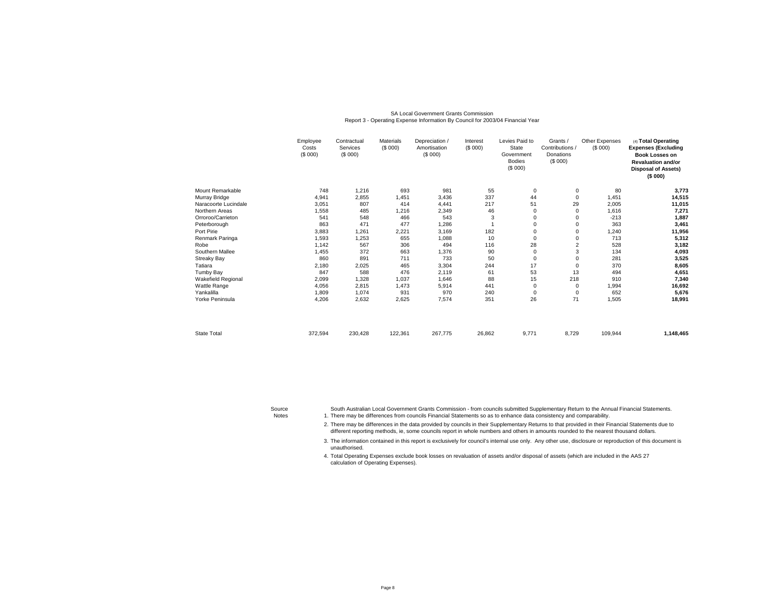### SA Local Government Grants CommissionReport 3 - Operating Expense Information By Council for 2003/04 Financial Year

|                      | Employee<br>Costs<br>(\$000) | Contractual<br>Services<br>(\$000) | <b>Materials</b><br>(\$000) | Depreciation /<br>Amortisation<br>(\$000) | Interest<br>(\$000) | Levies Paid to<br>State<br>Government<br><b>Bodies</b><br>(\$000) | Grants /<br>Contributions /<br>Donations<br>(\$000) | Other Expenses<br>(\$000) | (4) Total Operating<br><b>Expenses (Excluding</b><br><b>Book Losses on</b><br><b>Revaluation and/or</b><br><b>Disposal of Assets)</b><br>(\$000) |
|----------------------|------------------------------|------------------------------------|-----------------------------|-------------------------------------------|---------------------|-------------------------------------------------------------------|-----------------------------------------------------|---------------------------|--------------------------------------------------------------------------------------------------------------------------------------------------|
| Mount Remarkable     | 748                          | 1,216                              | 693                         | 981                                       | 55                  | $\mathbf 0$                                                       | 0                                                   | 80                        | 3,773                                                                                                                                            |
| Murray Bridge        | 4,941                        | 2,855                              | 1,451                       | 3,436                                     | 337                 | 44                                                                | $\mathbf 0$                                         | 1,451                     | 14,515                                                                                                                                           |
| Naracoorte Lucindale | 3,051                        | 807                                | 414                         | 4,441                                     | 217                 | 51                                                                | 29                                                  | 2,005                     | 11,015                                                                                                                                           |
| Northern Areas       | 1,558                        | 485                                | 1,216                       | 2,349                                     | 46                  | 0                                                                 | 0                                                   | 1,616                     | 7,271                                                                                                                                            |
| Orroroo/Carrieton    | 541                          | 548                                | 466                         | 543                                       | 3                   | 0                                                                 | $\Omega$                                            | $-213$                    | 1,887                                                                                                                                            |
| Peterborough         | 863                          | 471                                | 477                         | 1,286                                     |                     | 0                                                                 | 0                                                   | 363                       | 3,461                                                                                                                                            |
| Port Pirie           | 3,883                        | 1,261                              | 2,221                       | 3,169                                     | 182                 | 0                                                                 | $\Omega$                                            | 1,240                     | 11,956                                                                                                                                           |
| Renmark Paringa      | 1,593                        | 1,253                              | 655                         | 1,088                                     | 10                  | 0                                                                 | 0                                                   | 713                       | 5,312                                                                                                                                            |
| Robe                 | 1,142                        | 567                                | 306                         | 494                                       | 116                 | 28                                                                | 2                                                   | 528                       | 3,182                                                                                                                                            |
| Southern Mallee      | 1,455                        | 372                                | 663                         | 1,376                                     | 90                  | 0                                                                 | 3                                                   | 134                       | 4,093                                                                                                                                            |
| <b>Streaky Bay</b>   | 860                          | 891                                | 711                         | 733                                       | 50                  | 0                                                                 | 0                                                   | 281                       | 3,525                                                                                                                                            |
| Tatiara              | 2,180                        | 2,025                              | 465                         | 3,304                                     | 244                 | 17                                                                | $\Omega$                                            | 370                       | 8,605                                                                                                                                            |
| Tumby Bay            | 847                          | 588                                | 476                         | 2,119                                     | 61                  | 53                                                                | 13                                                  | 494                       | 4,651                                                                                                                                            |
| Wakefield Regional   | 2,099                        | 1,328                              | 1,037                       | 1,646                                     | 88                  | 15                                                                | 218                                                 | 910                       | 7,340                                                                                                                                            |
| Wattle Range         | 4,056                        | 2,815                              | 1,473                       | 5,914                                     | 441                 | 0                                                                 | $\mathbf 0$                                         | 1,994                     | 16,692                                                                                                                                           |
| Yankalilla           | 1,809                        | 1,074                              | 931                         | 970                                       | 240                 | $\mathbf 0$                                                       | $\mathbf 0$                                         | 652                       | 5,676                                                                                                                                            |
| Yorke Peninsula      | 4,206                        | 2,632                              | 2,625                       | 7,574                                     | 351                 | 26                                                                | 71                                                  | 1,505                     | 18,991                                                                                                                                           |
|                      |                              |                                    |                             |                                           |                     |                                                                   |                                                     |                           |                                                                                                                                                  |
| <b>State Total</b>   | 372,594                      | 230,428                            | 122,361                     | 267,775                                   | 26,862              | 9,771                                                             | 8,729                                               | 109,944                   | 1,148,465                                                                                                                                        |

Source

South Australian Local Government Grants Commission - from councils submitted Supplementary Return to the Annual Financial Statements.

Notes 1. There may be differences from councils Financial Statements so as to enhance data consistency and comparability.

2. There may be differences in the data provided by councils in their Supplementary Returns to that provided in their Financial Statements due to different reporting methods, ie, some councils report in whole numbers and others in amounts rounded to the nearest thousand dollars.

3.The information contained in this report is exclusively for council's internal use only. Any other use, disclosure or reproduction of this document is unauthorised.

4. Total Operating Expenses exclude book losses on revaluation of assets and/or disposal of assets (which are included in the AAS 27 calculation of Operating Expenses).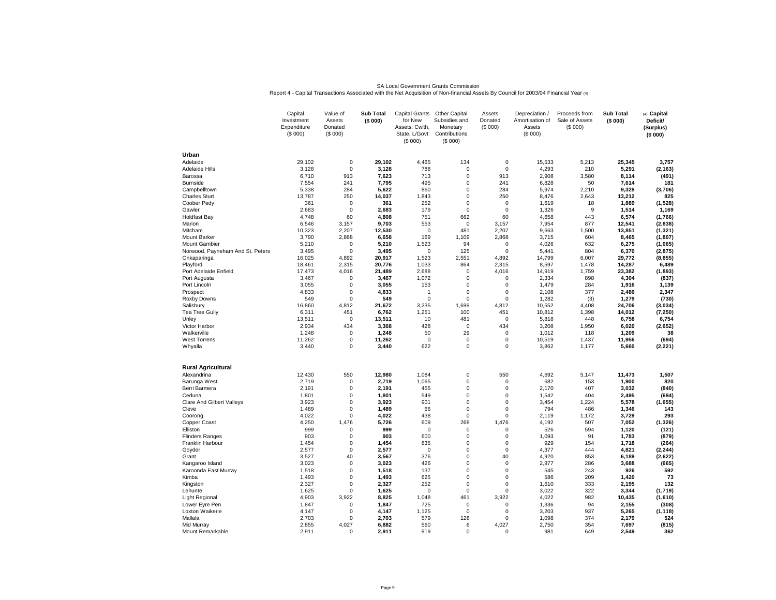SA Local Government Grants Commission<br>Report 4 - Capital Transactions Associated with the Net Acquisition of Non-financial Assets By Council for 2003/04 Financial Year (4)

|                                  | Capital<br>Investment<br>Expenditure<br>(\$000) | Value of<br>Assets<br>Donated<br>(\$000) | <b>Sub Total</b><br>(\$000) | Capital Grants Other Capital<br>for New<br>Assets: Cwlth,<br>State, L/Govt<br>(\$000) | Subsidies and<br>Monetary<br>Contributions<br>(\$000) | Assets<br>Donated<br>(\$000) | Depreciation /<br>Amortisation of<br>Assets<br>(\$000) | Proceeds from<br>Sale of Assets<br>(S 000) | <b>Sub Total</b><br>(\$000) | (4) Capital<br>Deficit/<br>(Surplus)<br>(\$000) |
|----------------------------------|-------------------------------------------------|------------------------------------------|-----------------------------|---------------------------------------------------------------------------------------|-------------------------------------------------------|------------------------------|--------------------------------------------------------|--------------------------------------------|-----------------------------|-------------------------------------------------|
| Urban                            |                                                 |                                          |                             |                                                                                       |                                                       |                              |                                                        |                                            |                             |                                                 |
| Adelaide                         | 29,102                                          | $\mathsf{O}\xspace$                      | 29,102                      | 4,465                                                                                 | 134                                                   | $\pmb{0}$                    | 15,533                                                 | 5,213                                      | 25,345                      | 3,757                                           |
| Adelaide Hills                   | 3,128                                           | 0                                        | 3,128                       | 788                                                                                   | 0                                                     | $\Omega$                     | 4,293                                                  | 210                                        | 5,291                       | (2, 163)                                        |
| Barossa                          | 6,710                                           | 913                                      | 7,623                       | 713                                                                                   | 0                                                     | 913                          | 2,908                                                  | 3,580                                      | 8,114                       | (491)                                           |
| <b>Burnside</b>                  | 7,554                                           | 241                                      | 7,795                       | 495                                                                                   | 0                                                     | 241                          | 6,828                                                  | 50                                         | 7,614                       | 181                                             |
| Campbelltown                     | 5,338                                           | 284                                      | 5,622                       | 860                                                                                   | 0                                                     | 284                          | 5,974                                                  | 2,210                                      | 9,328                       | (3,706)                                         |
| <b>Charles Sturt</b>             | 13,787                                          | 250                                      | 14,037                      | 1,843                                                                                 | 0                                                     | 250                          | 8,476                                                  | 2,643                                      | 13,212                      | 825                                             |
| Coober Pedy                      | 361                                             | $\Omega$                                 | 361                         | 252                                                                                   | $\Omega$                                              | $\Omega$                     | 1,619                                                  | 18                                         | 1,889                       | (1,528)                                         |
| Gawler                           | 2,683                                           | $\mathbf 0$                              | 2,683                       | 179                                                                                   | 0                                                     | $\mathbf 0$                  | 1,326                                                  | 9                                          | 1,514                       | 1,169                                           |
| <b>Holdfast Bay</b>              | 4,748                                           | 60                                       | 4,808                       | 751                                                                                   | 662                                                   | 60                           | 4,658                                                  | 443                                        | 6,574                       | (1,766)                                         |
| Marion                           | 6,546                                           | 3,157                                    | 9,703                       | 553                                                                                   | $\pmb{0}$                                             | 3,157                        | 7,954                                                  | 877                                        | 12,541                      | (2,838)                                         |
| Mitcham                          | 10,323                                          | 2,207                                    | 12,530                      | $\mathbf 0$                                                                           | 481                                                   | 2,207                        | 9,663                                                  | 1,500                                      | 13,851                      | (1, 321)                                        |
| <b>Mount Barker</b>              | 3,790                                           | 2.868                                    | 6.658                       | 169                                                                                   | 1.109                                                 | 2.868                        | 3,715                                                  | 604                                        | 8,465                       | (1, 807)                                        |
| <b>Mount Gambier</b>             | 5,210                                           | 0                                        | 5,210                       | 1,523                                                                                 | 94                                                    | $\mathbf 0$                  | 4,026                                                  | 632                                        | 6,275                       | (1,065)                                         |
| Norwood, Payneham And St. Peters | 3,495                                           | 0                                        | 3,495                       | $\mathbf 0$                                                                           | 125                                                   | $\Omega$                     | 5,441                                                  | 804                                        | 6,370                       | (2, 875)                                        |
| Onkaparinga                      | 16,025                                          | 4,892                                    | 20,917                      | 1,523                                                                                 | 2,551                                                 | 4,892                        | 14,799                                                 | 6,007                                      | 29,772                      | (8, 855)                                        |
| Playford                         | 18,461                                          | 2,315                                    | 20.776                      | 1,033                                                                                 | 864                                                   | 2,315                        | 8,597                                                  | 1,478                                      | 14,287                      | 6,489                                           |
| Port Adelaide Enfield            | 17,473                                          | 4,016                                    | 21,489                      | 2,688                                                                                 | 0<br>0                                                | 4,016                        | 14,919                                                 | 1,759                                      | 23,382                      | (1, 893)                                        |
| Port Augusta                     | 3,467<br>3,055                                  | 0<br>0                                   | 3,467<br>3,055              | 1,072<br>153                                                                          | 0                                                     | $\Omega$<br>0                | 2,334<br>1,479                                         | 898<br>284                                 | 4,304<br>1,916              | (837)<br>1,139                                  |
| Port Lincoln                     |                                                 | 0                                        | 4,833                       | $\overline{1}$                                                                        | 0                                                     | $\mathbf 0$                  |                                                        | 377                                        | 2,486                       | 2,347                                           |
| Prospect                         | 4,833<br>549                                    | $\Omega$                                 | 549                         | $\mathbf 0$                                                                           | 0                                                     | $\Omega$                     | 2,108<br>1,282                                         |                                            | 1,279                       |                                                 |
| Roxby Downs                      | 16,860                                          | 4,812                                    | 21,672                      | 3,235                                                                                 | 1,699                                                 | 4,812                        | 10,552                                                 | (3)<br>4,408                               | 24,706                      | (730)<br>(3,034)                                |
| Salisbury<br>Tea Tree Gully      | 6,311                                           | 451                                      | 6,762                       | 1,251                                                                                 | 100                                                   | 451                          | 10,812                                                 | 1,398                                      | 14,012                      | (7, 250)                                        |
| Unley                            | 13,511                                          | 0                                        | 13,511                      | 10                                                                                    | 481                                                   | $\pmb{0}$                    | 5,818                                                  | 448                                        | 6,758                       | 6,754                                           |
| Victor Harbor                    | 2,934                                           | 434                                      | 3,368                       | 428                                                                                   | $\mathbf 0$                                           | 434                          | 3,208                                                  | 1,950                                      | 6,020                       | (2,652)                                         |
| Walkerville                      | 1,248                                           | 0                                        | 1.248                       | 50                                                                                    | 29                                                    | $\Omega$                     | 1.012                                                  | 118                                        | 1,209                       | 38                                              |
| <b>West Torrens</b>              | 11,262                                          | 0                                        | 11,262                      | $\mathbf 0$                                                                           | 0                                                     | $\mathbf 0$                  | 10,519                                                 | 1,437                                      | 11,956                      | (694)                                           |
| Whyalla                          | 3,440                                           | $\Omega$                                 | 3,440                       | 622                                                                                   | $\Omega$                                              | $\Omega$                     | 3,862                                                  | 1,177                                      | 5,660                       | (2, 221)                                        |
|                                  |                                                 |                                          |                             |                                                                                       |                                                       |                              |                                                        |                                            |                             |                                                 |
| <b>Rural Agricultural</b>        |                                                 |                                          |                             |                                                                                       |                                                       |                              |                                                        |                                            |                             |                                                 |
| Alexandrina                      | 12,430                                          | 550                                      | 12,980                      | 1,084                                                                                 | 0                                                     | 550                          | 4,692                                                  | 5,147                                      | 11,473                      | 1,507                                           |
| Barunga West                     | 2,719                                           | 0                                        | 2.719                       | 1,065                                                                                 | 0                                                     | 0                            | 682                                                    | 153                                        | 1,900                       | 820                                             |
| Berri Barmera                    | 2,191                                           | 0                                        | 2,191                       | 455                                                                                   | 0                                                     | $\mathbf 0$                  | 2,170                                                  | 407                                        | 3,032                       | (840)                                           |
| Ceduna                           | 1,801                                           | 0                                        | 1.801                       | 549                                                                                   | 0                                                     | 0                            | 1,542                                                  | 404                                        | 2.495                       | (694)                                           |
| Clare And Gilbert Valleys        | 3,923                                           | 0                                        | 3,923                       | 901                                                                                   | 0                                                     | 0                            | 3,454                                                  | 1,224                                      | 5,578                       | (1,655)                                         |
| Cleve                            | 1,489                                           | 0                                        | 1,489                       | 66                                                                                    | 0                                                     | $\mathbf 0$                  | 794                                                    | 486                                        | 1,346                       | 143                                             |
| Coorong                          | 4,022                                           | 0                                        | 4,022                       | 438                                                                                   | 0                                                     | 0                            | 2,119                                                  | 1,172                                      | 3,729                       | 293                                             |
| Copper Coast                     | 4,250                                           | 1,476                                    | 5,726                       | 609                                                                                   | 268                                                   | 1,476                        | 4,192                                                  | 507                                        | 7,052                       | (1, 326)                                        |
| Elliston                         | 999                                             | 0                                        | 999                         | $\mathbf 0$                                                                           | 0                                                     | $\Omega$                     | 526                                                    | 594                                        | 1,120                       | (121)                                           |
| <b>Flinders Ranges</b>           | 903                                             | 0                                        | 903                         | 600                                                                                   | 0                                                     | 0                            | 1,093                                                  | 91                                         | 1,783                       | (879)                                           |
| Franklin Harbour                 | 1,454                                           | 0                                        | 1,454                       | 635                                                                                   | 0                                                     | $\mathbf 0$                  | 929                                                    | 154                                        | 1,718                       | (264)                                           |
| Goyder                           | 2,577                                           | 0                                        | 2,577                       | $\mathbf 0$                                                                           | 0                                                     | $\mathbf 0$                  | 4,377                                                  | 444                                        | 4,821                       | (2, 244)                                        |
| Grant                            | 3,527                                           | 40                                       | 3,567                       | 376                                                                                   | 0                                                     | 40                           | 4,920                                                  | 853                                        | 6,189                       | (2,622)                                         |
| Kangaroo Island                  | 3,023                                           | 0                                        | 3.023                       | 426                                                                                   | 0                                                     | $\mathbf 0$                  | 2,977                                                  | 286                                        | 3,688                       | (665)                                           |
| Karoonda East Murray             | 1,518                                           | 0                                        | 1,518                       | 137                                                                                   | 0                                                     | $\mathbf 0$                  | 545                                                    | 243                                        | 926                         | 592                                             |
| Kimba                            | 1,493                                           | 0                                        | 1,493                       | 625                                                                                   | 0                                                     | $\Omega$                     | 586                                                    | 209                                        | 1,420                       | 73                                              |
| Kingston                         | 2,327                                           | 0                                        | 2,327                       | 252                                                                                   | 0                                                     | $\mathbf 0$                  | 1,610                                                  | 333                                        | 2,195                       | 132                                             |
| Lehunte                          | 1,625                                           | 0                                        | 1,625                       | $\mathbf 0$                                                                           | 0                                                     | 0                            | 3,022                                                  | 322                                        | 3,344                       | (1,719)                                         |
| <b>Light Regional</b>            | 4,903                                           | 3,922                                    | 8,825                       | 1,048                                                                                 | 461                                                   | 3,922                        | 4,022                                                  | 982                                        | 10,435                      | (1,610)                                         |
| Lower Eyre Pen                   | 1,847                                           | 0                                        | 1,847                       | 725                                                                                   | 0                                                     | $\mathbf 0$                  | 1,336                                                  | 94                                         | 2,155                       | (308)                                           |
| Loxton Waikerie                  | 4,147                                           | $\Omega$                                 | 4,147                       | 1,125                                                                                 | 0                                                     | $\Omega$                     | 3,203                                                  | 937                                        | 5,265                       | (1, 118)                                        |
| Mallala                          | 2,703                                           | 0                                        | 2,703                       | 579                                                                                   | 128                                                   | $\mathbf 0$                  | 1,098                                                  | 374                                        | 2,179                       | 524                                             |
| Mid Murray                       | 2,855                                           | 4,027                                    | 6,882                       | 560                                                                                   | 6                                                     | 4.027                        | 2,750                                                  | 354                                        | 7,697                       | (815)                                           |
| Mount Remarkable                 | 2,911                                           | 0                                        | 2,911                       | 919                                                                                   | 0                                                     | $\Omega$                     | 981                                                    | 649                                        | 2,549                       | 362                                             |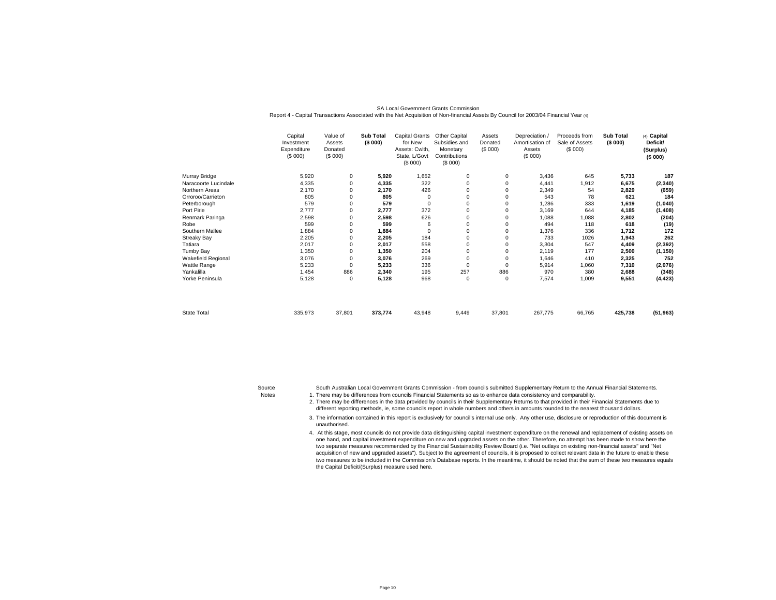|                           | Capital<br>Investment<br>Expenditure<br>(\$000) | Value of<br>Assets<br>Donated<br>(\$000) | <b>Sub Total</b><br>(\$000) | Capital Grants<br>for New<br>Assets: Cwlth.<br>State, L/Govt<br>(\$000) | Other Capital<br>Subsidies and<br>Monetary<br>Contributions<br>(\$000) | Assets<br>Donated<br>(\$000) | Depreciation /<br>Amortisation of<br>Assets<br>(\$000) | Proceeds from<br>Sale of Assets<br>(\$000) | <b>Sub Total</b><br>(\$000) | (4) Capital<br>Deficit/<br>(Surplus)<br>(\$000) |
|---------------------------|-------------------------------------------------|------------------------------------------|-----------------------------|-------------------------------------------------------------------------|------------------------------------------------------------------------|------------------------------|--------------------------------------------------------|--------------------------------------------|-----------------------------|-------------------------------------------------|
| Murray Bridge             | 5,920                                           | 0                                        | 5,920                       | 1,652                                                                   | $\mathbf 0$                                                            | 0                            | 3,436                                                  | 645                                        | 5,733                       | 187                                             |
| Naracoorte Lucindale      | 4,335                                           | $\mathbf 0$                              | 4,335                       | 322                                                                     | $\Omega$                                                               | 0                            | 4,441                                                  | 1,912                                      | 6,675                       | (2, 340)                                        |
| Northern Areas            | 2,170                                           | 0                                        | 2,170                       | 426                                                                     |                                                                        | 0                            | 2,349                                                  | 54                                         | 2,829                       | (659)                                           |
| Orroroo/Carrieton         | 805                                             | $\Omega$                                 | 805                         | 0                                                                       | $\Omega$                                                               | 0                            | 543                                                    | 78                                         | 621                         | 184                                             |
| Peterborough              | 579                                             | $\Omega$                                 | 579                         | 0                                                                       | $\Omega$                                                               | 0                            | 1,286                                                  | 333                                        | 1,619                       | (1,040)                                         |
| Port Pirie                | 2,777                                           | 0                                        | 2,777                       | 372                                                                     | $\Omega$                                                               | 0                            | 3,169                                                  | 644                                        | 4,185                       | (1, 408)                                        |
| Renmark Paringa           | 2,598                                           | 0                                        | 2,598                       | 626                                                                     |                                                                        | 0                            | 1,088                                                  | 1,088                                      | 2,802                       | (204)                                           |
| Robe                      | 599                                             | 0                                        | 599                         | 6                                                                       | 0                                                                      | 0                            | 494                                                    | 118                                        | 618                         | (19)                                            |
| Southern Mallee           | 1,884                                           | 0                                        | 1,884                       | 0                                                                       | $\Omega$                                                               | 0                            | 1,376                                                  | 336                                        | 1,712                       | 172                                             |
| <b>Streaky Bay</b>        | 2,205                                           | 0                                        | 2,205                       | 184                                                                     | 0                                                                      | 0                            | 733                                                    | 1026                                       | 1,943                       | 262                                             |
| Tatiara                   | 2,017                                           | 0                                        | 2,017                       | 558                                                                     | $\Omega$                                                               | 0                            | 3,304                                                  | 547                                        | 4,409                       | (2, 392)                                        |
| <b>Tumby Bay</b>          | 1,350                                           | 0                                        | 1,350                       | 204                                                                     | $\Omega$                                                               | 0                            | 2,119                                                  | 177                                        | 2,500                       | (1, 150)                                        |
| <b>Wakefield Regional</b> | 3,076                                           | $\Omega$                                 | 3,076                       | 269                                                                     | $\Omega$                                                               | 0                            | 1,646                                                  | 410                                        | 2,325                       | 752                                             |
| Wattle Range              | 5,233                                           | 0                                        | 5,233                       | 336                                                                     | $\mathbf 0$                                                            | 0                            | 5,914                                                  | 1,060                                      | 7,310                       | (2,076)                                         |
| Yankalilla                | 1,454                                           | 886                                      | 2,340                       | 195                                                                     | 257                                                                    | 886                          | 970                                                    | 380                                        | 2,688                       | (348)                                           |
| Yorke Peninsula           | 5,128                                           | $\mathbf 0$                              | 5,128                       | 968                                                                     | $\mathbf 0$                                                            | 0                            | 7,574                                                  | 1,009                                      | 9,551                       | (4, 423)                                        |
| State Total               | 335,973                                         | 37,801                                   | 373,774                     | 43,948                                                                  | 9,449                                                                  | 37,801                       | 267,775                                                | 66,765                                     | 425,738                     | (51, 963)                                       |

### SA Local Government Grants CommissionReport 4 - Capital Transactions Associated with the Net Acquisition of Non-financial Assets By Council for 2003/04 Financial Year (4)

Notes 1. South Australian Local Government Grants Commission - from councils submitted Supplementary Return to the Annual Financial Statements.There may be differences from councils Financial Statements so as to enhance data consistency and comparability.

2. There may be differences in the data provided by councils in their Supplementary Returns to that provided in their Financial Statements due to different reporting methods, ie, some councils report in whole numbers and others in amounts rounded to the nearest thousand dollars.

3.The information contained in this report is exclusively for council's internal use only. Any other use, disclosure or reproduction of this document is unauthorised.

4. At this stage, most councils do not provide data distinguishing capital investment expenditure on the renewal and replacement of existing assets on one hand, and capital investment expenditure on new and upgraded assets on the other. Therefore, no attempt has been made to show here the two separate measures recommended by the Financial Sustainability Review Board (i.e. "Net outlays on existing non-financial assets" and "Net acquisition of new and upgraded assets"). Subject to the agreement of councils, it is proposed to collect relevant data in the future to enable these two measures to be included in the Commission's Database reports. In the meantime, it should be noted that the sum of these two measures equals the Capital Deficit/(Surplus) measure used here.

Source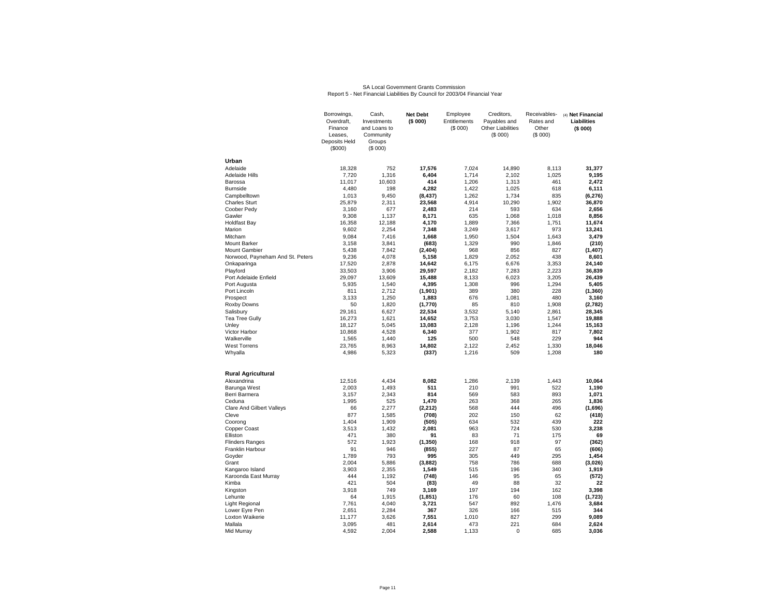# SA Local Government Grants Commission Report 5 - Net Financial Liabilities By Council for 2003/04 Financial Year

|                                  | Borrowings,   | Cash,        | <b>Net Debt</b> | Employee     | Creditors.               | Receivables- | (4) Net Financial |
|----------------------------------|---------------|--------------|-----------------|--------------|--------------------------|--------------|-------------------|
|                                  | Overdraft,    | Investments  | (\$000)         | Entitlements | Payables and             | Rates and    | Liabilities       |
|                                  | Finance       | and Loans to |                 | (\$000)      | <b>Other Liabilities</b> | Other        | (\$000)           |
|                                  | Leases.       | Community    |                 |              | (\$000)                  | (S 000)      |                   |
|                                  | Deposits Held | Groups       |                 |              |                          |              |                   |
|                                  | (\$000)       | (S 000)      |                 |              |                          |              |                   |
| Urban                            |               |              |                 |              |                          |              |                   |
| Adelaide                         | 18.328        | 752          | 17.576          | 7.024        | 14,890                   | 8.113        | 31.377            |
| Adelaide Hills                   | 7,720         | 1,316        | 6,404           | 1,714        | 2,102                    | 1,025        | 9,195             |
| Barossa                          | 11,017        | 10,603       | 414             | 1,206        | 1,313                    | 461          | 2,472             |
| <b>Burnside</b>                  | 4,480         | 198          | 4,282           | 1,422        | 1,025                    | 618          | 6,111             |
| Campbelltown                     | 1,013         | 9,450        | (8, 437)        | 1,262        | 1,734                    | 835          | (6, 276)          |
| <b>Charles Sturt</b>             | 25,879        | 2,311        | 23,568          | 4,914        | 10,290                   | 1,902        | 36,870            |
| Coober Pedy                      | 3,160         | 677          | 2,483           | 214          | 593                      | 634          | 2,656             |
| Gawler                           | 9.308         | 1.137        | 8.171           | 635          | 1.068                    | 1.018        | 8.856             |
| <b>Holdfast Bay</b>              | 16,358        | 12,188       | 4,170           | 1,889        | 7,366                    | 1,751        | 11,674            |
| Marion                           | 9,602         | 2,254        | 7,348           | 3,249        | 3,617                    | 973          | 13,241            |
| Mitcham                          | 9,084         | 7,416        | 1,668           | 1,950        | 1,504                    | 1,643        | 3,479             |
| <b>Mount Barker</b>              | 3,158         | 3,841        | (683)           | 1,329        | 990                      | 1,846        | (210)             |
| <b>Mount Gambier</b>             | 5,438         | 7,842        | (2, 404)        | 968          | 856                      | 827          | (1,407)           |
| Norwood, Payneham And St. Peters | 9,236         | 4,078        | 5,158           | 1,829        | 2,052                    | 438          | 8,601             |
| Onkaparinga                      | 17,520        | 2,878        | 14,642          | 6,175        | 6,676                    | 3,353        | 24.140            |
| Playford                         | 33,503        | 3,906        | 29,597          | 2,182        | 7,283                    | 2,223        | 36,839            |
| Port Adelaide Enfield            | 29,097        | 13,609       | 15,488          | 8,133        | 6,023                    | 3,205        | 26,439            |
| Port Augusta                     | 5,935         | 1,540        | 4,395           | 1,308        | 996                      | 1,294        | 5,405             |
| Port Lincoln                     | 811           | 2,712        | (1,901)         | 389          | 380                      | 228          | (1, 360)          |
| Prospect                         | 3,133         | 1,250        | 1,883           | 676          | 1,081                    | 480          | 3,160             |
| Roxby Downs                      | 50            | 1,820        | (1,770)         | 85           | 810                      | 1,908        | (2,782)           |
| Salisbury                        | 29,161        | 6,627        | 22,534          | 3,532        | 5,140                    | 2,861        | 28,345            |
| <b>Tea Tree Gully</b>            | 16,273        | 1,621        | 14,652          | 3,753        | 3,030                    | 1,547        | 19,888            |
| Unley                            | 18,127        | 5,045        | 13,083          | 2,128        | 1,196                    | 1,244        | 15,163            |
| <b>Victor Harbor</b>             | 10,868        | 4,528        | 6,340           | 377          | 1,902                    | 817          | 7,802             |
| Walkerville                      | 1,565         | 1,440        | 125             | 500          | 548                      | 229          | 944               |
| <b>West Torrens</b>              | 23,765        | 8,963        | 14,802          | 2,122        | 2,452                    | 1,330        | 18,046            |
| Whyalla                          | 4,986         | 5,323        | (337)           | 1,216        | 509                      | 1,208        | 180               |
| <b>Rural Agricultural</b>        |               |              |                 |              |                          |              |                   |
| Alexandrina                      | 12.516        | 4,434        | 8.082           | 1,286        | 2,139                    | 1,443        | 10.064            |
| Barunga West                     | 2,003         | 1,493        | 511             | 210          | 991                      | 522          | 1,190             |
| Berri Barmera                    | 3,157         | 2,343        | 814             | 569          | 583                      | 893          | 1,071             |
| Ceduna                           | 1,995         | 525          | 1,470           | 263          | 368                      | 265          | 1,836             |
| <b>Clare And Gilbert Valleys</b> | 66            | 2,277        | (2, 212)        | 568          | 444                      | 496          | (1,696)           |
| Cleve                            | 877           | 1,585        | (708)           | 202          | 150                      | 62           | (418)             |
| Coorong                          | 1,404         | 1,909        | (505)           | 634          | 532                      | 439          | 222               |
| Copper Coast                     | 3,513         | 1,432        | 2,081           | 963          | 724                      | 530          | 3.238             |
| Elliston                         | 471           | 380          | 91              | 83           | 71                       | 175          | 69                |
| <b>Flinders Ranges</b>           | 572           | 1,923        | (1, 350)        | 168          | 918                      | 97           | (362)             |
| Franklin Harbour                 | 91            | 946          | (855)           | 227          | 87                       | 65           | (606)             |
| Goyder                           | 1,789         | 793          | 995             | 305          | 449                      | 295          | 1,454             |
| Grant                            | 2,004         | 5,886        | (3,882)         | 758          | 786                      | 688          | (3,026)           |
| Kangaroo Island                  | 3.903         | 2,355        | 1,549           | 515          | 196                      | 340          | 1,919             |
| Karoonda East Murray             | 444           | 1,192        | (748)           | 146          | 95                       | 65           | (572)             |
| Kimba                            | 421           | 504          | (83)            | 49           | 88                       | 32           | 22                |
| Kingston                         | 3,918         | 749          | 3,169           | 197          | 194                      | 162          | 3,398             |
| Lehunte                          | 64            | 1,915        | (1, 851)        | 176          | 60                       | 108          | (1,723)           |
| Light Regional                   | 7,761         | 4,040        | 3,721           | 547          | 892                      | 1,476        | 3,684             |
| Lower Eyre Pen                   | 2,651         | 2,284        | 367             | 326          | 166                      | 515          | 344               |
| Loxton Waikerie                  | 11,177        | 3,626        | 7,551           | 1,010        | 827                      | 299          | 9,089             |
| Mallala                          | 3,095         | 481          | 2,614           | 473          | 221<br>$\mathbf 0$       | 684          | 2,624             |
| Mid Murray                       | 4,592         | 2,004        | 2,588           | 1,133        |                          | 685          | 3,036             |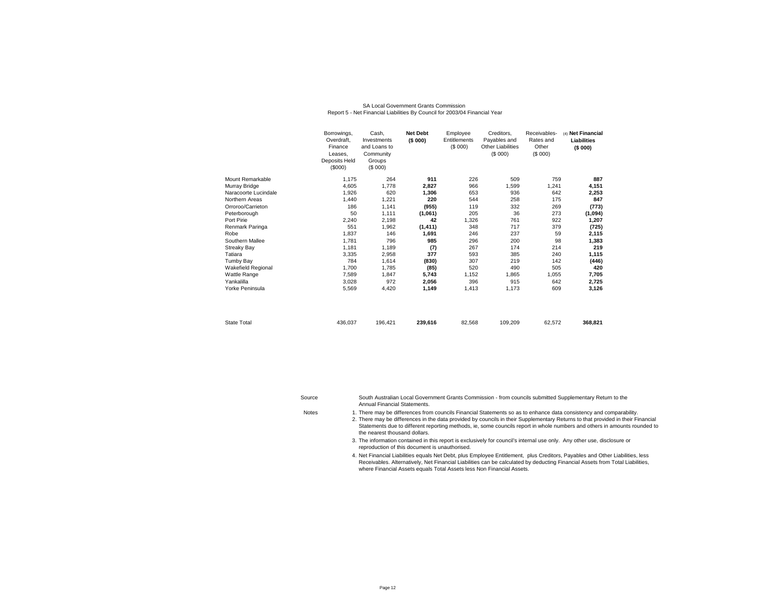|                      | Borrowings,<br>Overdraft.<br>Finance<br>Leases.<br>Deposits Held<br>(S000) | Cash.<br>Investments<br>and Loans to<br>Community<br>Groups<br>(S 000) | <b>Net Debt</b><br>(\$000) | Employee<br>Entitlements<br>(\$000) | Creditors.<br>Payables and<br><b>Other Liabilities</b><br>(S 000) | Receivables-<br>Rates and<br>Other<br>(S 000) | (4) Net Financial<br>Liabilities<br>(\$000) |
|----------------------|----------------------------------------------------------------------------|------------------------------------------------------------------------|----------------------------|-------------------------------------|-------------------------------------------------------------------|-----------------------------------------------|---------------------------------------------|
| Mount Remarkable     | 1,175                                                                      | 264                                                                    | 911                        | 226                                 | 509                                                               | 759                                           | 887                                         |
| Murray Bridge        | 4,605                                                                      | 1,778                                                                  | 2,827                      | 966                                 | 1,599                                                             | 1,241                                         | 4,151                                       |
| Naracoorte Lucindale | 1,926                                                                      | 620                                                                    | 1,306                      | 653                                 | 936                                                               | 642                                           | 2,253                                       |
| Northern Areas       | 1,440                                                                      | 1,221                                                                  | 220                        | 544                                 | 258                                                               | 175                                           | 847                                         |
| Orroroo/Carrieton    | 186                                                                        | 1,141                                                                  | (955)                      | 119                                 | 332                                                               | 269                                           | (773)                                       |
| Peterborough         | 50                                                                         | 1,111                                                                  | (1,061)                    | 205                                 | 36                                                                | 273                                           | (1,094)                                     |
| Port Pirie           | 2,240                                                                      | 2,198                                                                  | 42                         | 1,326                               | 761                                                               | 922                                           | 1,207                                       |
| Renmark Paringa      | 551                                                                        | 1,962                                                                  | (1, 411)                   | 348                                 | 717                                                               | 379                                           | (725)                                       |
| Robe                 | 1,837                                                                      | 146                                                                    | 1,691                      | 246                                 | 237                                                               | 59                                            | 2,115                                       |
| Southern Mallee      | 1,781                                                                      | 796                                                                    | 985                        | 296                                 | 200                                                               | 98                                            | 1,383                                       |
| <b>Streaky Bay</b>   | 1,181                                                                      | 1,189                                                                  | (7)                        | 267                                 | 174                                                               | 214                                           | 219                                         |
| Tatiara              | 3.335                                                                      | 2.958                                                                  | 377                        | 593                                 | 385                                                               | 240                                           | 1,115                                       |
| Tumby Bay            | 784                                                                        | 1,614                                                                  | (830)                      | 307                                 | 219                                                               | 142                                           | (446)                                       |
| Wakefield Regional   | 1.700                                                                      | 1.785                                                                  | (85)                       | 520                                 | 490                                                               | 505                                           | 420                                         |
| Wattle Range         | 7,589                                                                      | 1,847                                                                  | 5,743                      | 1,152                               | 1,865                                                             | 1,055                                         | 7,705                                       |
| Yankalilla           | 3.028                                                                      | 972                                                                    | 2.056                      | 396                                 | 915                                                               | 642                                           | 2,725                                       |
| Yorke Peninsula      | 5,569                                                                      | 4,420                                                                  | 1.149                      | 1,413                               | 1,173                                                             | 609                                           | 3,126                                       |
| <b>State Total</b>   | 436,037                                                                    | 196,421                                                                | 239,616                    | 82,568                              | 109,209                                                           | 62,572                                        | 368,821                                     |

#### SA Local Government Grants CommissionReport 5 - Net Financial Liabilities By Council for 2003/04 Financial Year

Source**Notes** South Australian Local Government Grants Commission - from councils submitted Supplementary Return to the Annual Financial Statements.

There may be differences from councils Financial Statements so as to enhance data consistency and comparability.

2. There may be differences in the data provided by councils in their Supplementary Returns to that provided in their Financial Statements due to different reporting methods, ie, some councils report in whole numbers and others in amounts rounded to the nearest thousand dollars.

3. The information contained in this report is exclusively for council's internal use only. Any other use, disclosure or reproduction of this document is unauthorised.

4. Net Financial Liabilities equals Net Debt, plus Employee Entitlement, plus Creditors, Payables and Other Liabilities, less Receivables. Alternatively, Net Financial Liabilities can be calculated by deducting Financial Assets from Total Liabilities, where Financial Assets equals Total Assets less Non Financial Assets.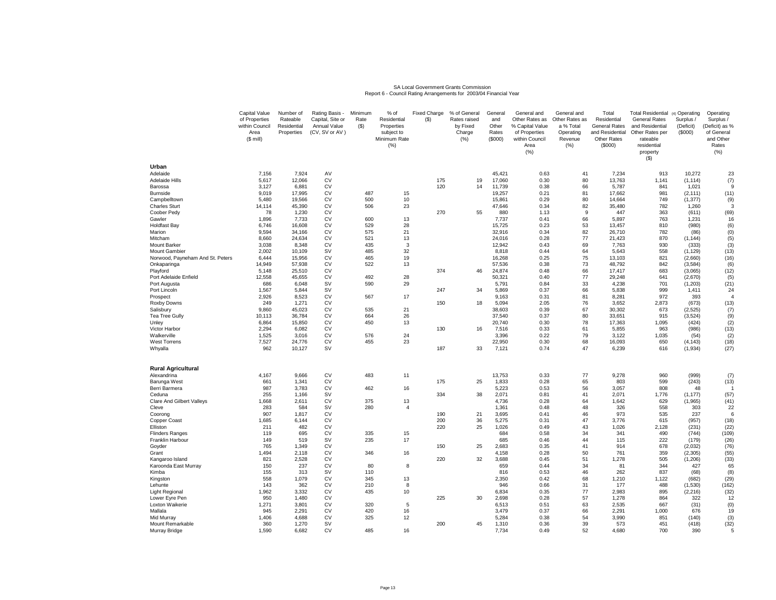#### SA Local Government Grants CommissionReport 6 - Council Rating Arrangements for 2003/04 Financial Year

|                                         | Capital Value<br>of Properties<br>within Council<br>Area<br>$($$ mill) | Number of<br>Rateable<br>Residential<br>Properties | Rating Basis<br>Capital, Site or<br>Annual Value<br>(CV, SV or AV) | Minimum<br>Rate<br>(S) | % of<br>Residential<br>Properties<br>subject to<br>Minimum Rate<br>(%) | <b>Fixed Charge</b><br>$($ \$) | % of General<br>Rates raised<br>by Fixed<br>Charge<br>(% ) | General<br>and<br>Other<br>Rates<br>(\$000) | General and<br>Other Rates as<br>% Capital Value<br>of Properties<br>within Council<br>Area<br>(% ) | General and<br>Other Rates as<br>a % Total<br>Operating<br>Revenue<br>(%) | Total<br>Residential<br>General Rates<br>and Residential<br><b>Other Rates</b><br>(\$000) | <b>Total Residential</b><br><b>General Rates</b><br>and Residential<br>Other Rates per<br>rateable<br>residential<br>property<br>$($ \$) | (4) Operating<br>Surplus /<br>(Deficit)<br>(\$000) | Operating<br>Surplus /<br>(Deficit) as %<br>of General<br>and Other<br>Rates<br>(% ) |
|-----------------------------------------|------------------------------------------------------------------------|----------------------------------------------------|--------------------------------------------------------------------|------------------------|------------------------------------------------------------------------|--------------------------------|------------------------------------------------------------|---------------------------------------------|-----------------------------------------------------------------------------------------------------|---------------------------------------------------------------------------|-------------------------------------------------------------------------------------------|------------------------------------------------------------------------------------------------------------------------------------------|----------------------------------------------------|--------------------------------------------------------------------------------------|
| Urban                                   |                                                                        |                                                    |                                                                    |                        |                                                                        |                                |                                                            |                                             |                                                                                                     |                                                                           |                                                                                           |                                                                                                                                          |                                                    |                                                                                      |
| Adelaide<br><b>Adelaide Hills</b>       | 7,156<br>5,617                                                         | 7,924<br>12,066                                    | AV<br>CV                                                           |                        |                                                                        | 175                            | 19                                                         | 45,421<br>17,060                            | 0.63<br>0.30                                                                                        | 41<br>80                                                                  | 7,234<br>13,763                                                                           | 913<br>1,141                                                                                                                             | 10,272<br>(1, 114)                                 | 23<br>(7)                                                                            |
| Barossa                                 | 3,127                                                                  | 6,881                                              | CV                                                                 |                        |                                                                        | 120                            | 14                                                         | 11,739                                      | 0.38                                                                                                | 66                                                                        | 5,787                                                                                     | 841                                                                                                                                      | 1,021                                              |                                                                                      |
| Burnside                                | 9.019                                                                  | 17,995                                             | CV                                                                 | 487                    | 15                                                                     |                                |                                                            | 19.257                                      | 0.21                                                                                                | 81                                                                        | 17.662                                                                                    | 981                                                                                                                                      | (2, 111)                                           | (11)                                                                                 |
| Campbelltown                            | 5,480                                                                  | 19,566                                             | CV                                                                 | 500                    | 10                                                                     |                                |                                                            | 15,861                                      | 0.29                                                                                                | 80                                                                        | 14,664                                                                                    | 749                                                                                                                                      | (1, 377)                                           | (9)                                                                                  |
| <b>Charles Sturt</b><br>Coober Pedy     | 14,114<br>78                                                           | 45,390<br>1,230                                    | CV<br><b>CV</b>                                                    | 506                    | 23                                                                     | 270                            | 55                                                         | 47,646<br>880                               | 0.34<br>1.13                                                                                        | 82<br>9                                                                   | 35,480<br>447                                                                             | 782<br>363                                                                                                                               | 1,260<br>(611)                                     | (69)                                                                                 |
| Gawler                                  | 1,896                                                                  | 7,733                                              | <b>CV</b>                                                          | 600                    | 13                                                                     |                                |                                                            | 7,737                                       | 0.41                                                                                                | 66                                                                        | 5,897                                                                                     | 763                                                                                                                                      | 1,231                                              | 16                                                                                   |
| <b>Holdfast Bay</b>                     | 6,746                                                                  | 16,608                                             | <b>CV</b>                                                          | 529                    | 28                                                                     |                                |                                                            | 15,725                                      | 0.23                                                                                                | 53                                                                        | 13,457                                                                                    | 810                                                                                                                                      | (980)                                              | (6)                                                                                  |
| Marion                                  | 9,594                                                                  | 34,166                                             | <b>CV</b>                                                          | 575                    | 21                                                                     |                                |                                                            | 32,916                                      | 0.34                                                                                                | 82                                                                        | 26,710                                                                                    | 782                                                                                                                                      | (86)                                               | (0)                                                                                  |
| Mitcham<br>Mount Barker                 | 8,660<br>3,038                                                         | 24,634<br>8,348                                    | CV<br><b>CV</b>                                                    | 521<br>435             | 13<br>3                                                                |                                |                                                            | 24,016<br>12,942                            | 0.28<br>0.43                                                                                        | 77<br>69                                                                  | 21,423<br>7,763                                                                           | 870<br>930                                                                                                                               | (1, 144)<br>(333)                                  | (5)<br>(3)                                                                           |
| <b>Mount Gambier</b>                    | 2,002                                                                  | 10,109                                             | SV                                                                 | 485                    | 32                                                                     |                                |                                                            | 8,818                                       | 0.44                                                                                                | 64                                                                        | 5,643                                                                                     | 558                                                                                                                                      | (1, 129)                                           | (13)                                                                                 |
| Norwood, Payneham And St. Peters        | 6,444                                                                  | 15,956                                             | CV                                                                 | 465                    | 19                                                                     |                                |                                                            | 16,268                                      | 0.25                                                                                                | 75                                                                        | 13,103                                                                                    | 821                                                                                                                                      | (2,660)                                            | (16)                                                                                 |
| Onkaparinga                             | 14,949                                                                 | 57,938                                             | CV                                                                 | 522                    | 13                                                                     |                                |                                                            | 57,536                                      | 0.38                                                                                                | 73                                                                        | 48,792                                                                                    | 842                                                                                                                                      | (3,584)                                            | (6)                                                                                  |
| Playford                                | 5,148                                                                  | 25,510                                             | CV                                                                 |                        |                                                                        | 374                            | 46                                                         | 24,874                                      | 0.48                                                                                                | 66                                                                        | 17,417                                                                                    | 683                                                                                                                                      | (3,065)                                            | (12)                                                                                 |
| Port Adelaide Enfield<br>Port Augusta   | 12,558<br>686                                                          | 45,655<br>6,048                                    | CV<br>SV                                                           | 492<br>590             | 28<br>29                                                               |                                |                                                            | 50,321<br>5,791                             | 0.40<br>0.84                                                                                        | 77<br>33                                                                  | 29.248<br>4,238                                                                           | 641<br>701                                                                                                                               | (2,670)<br>(1, 203)                                | (5)<br>(21)                                                                          |
| Port Lincoln                            | 1,567                                                                  | 5,844                                              | <b>SV</b>                                                          |                        |                                                                        | 247                            | 34                                                         | 5,869                                       | 0.37                                                                                                | 66                                                                        | 5,838                                                                                     | 999                                                                                                                                      | 1,411                                              | 24                                                                                   |
| Prospect                                | 2.926                                                                  | 8,523                                              | <b>CV</b>                                                          | 567                    | 17                                                                     |                                |                                                            | 9.163                                       | 0.31                                                                                                | 81                                                                        | 8.281                                                                                     | 972                                                                                                                                      | 393                                                |                                                                                      |
| Roxby Downs                             | 249                                                                    | 1,271                                              | CV                                                                 |                        |                                                                        | 150                            | 18                                                         | 5,094                                       | 2.05                                                                                                | 76                                                                        | 3,652                                                                                     | 2,873                                                                                                                                    | (673)                                              | (13)                                                                                 |
| Salisbury<br><b>Tea Tree Gully</b>      | 9.860<br>10,113                                                        | 45,023<br>36,784                                   | CV<br>CV                                                           | 535<br>664             | 21<br>26                                                               |                                |                                                            | 38.603<br>37,540                            | 0.39<br>0.37                                                                                        | 67<br>80                                                                  | 30.302<br>33,651                                                                          | 673<br>915                                                                                                                               | (2, 525)<br>(3,524)                                | (7)<br>(9)                                                                           |
| Unley                                   | 6,864                                                                  | 15,850                                             | <b>CV</b>                                                          | 450                    | 13                                                                     |                                |                                                            | 20,740                                      | 0.30                                                                                                | 78                                                                        | 17,363                                                                                    | 1,095                                                                                                                                    | (424)                                              | (2)                                                                                  |
| Victor Harbor                           | 2,294                                                                  | 6,082                                              | CV                                                                 |                        |                                                                        | 130                            | 16                                                         | 7,516                                       | 0.33                                                                                                | 61                                                                        | 5,855                                                                                     | 963                                                                                                                                      | (986)                                              | (13)                                                                                 |
| Walkerville                             | 1,525                                                                  | 3,016                                              | <b>CV</b>                                                          | 576                    | 24                                                                     |                                |                                                            | 3,396                                       | 0.22                                                                                                | 79                                                                        | 3,122                                                                                     | 1,035                                                                                                                                    | (54)                                               | (2)                                                                                  |
| <b>West Torrens</b>                     | 7,527                                                                  | 24,776                                             | CV<br><b>SV</b>                                                    | 455                    | 23                                                                     | 187                            |                                                            | 22,950                                      | 0.30                                                                                                | 68                                                                        | 16,093                                                                                    | 650                                                                                                                                      | (4, 143)                                           | (18)                                                                                 |
| Whyalla                                 | 962                                                                    | 10,127                                             |                                                                    |                        |                                                                        |                                | 33                                                         | 7,121                                       | 0.74                                                                                                | 47                                                                        | 6,239                                                                                     | 616                                                                                                                                      | (1, 934)                                           | (27)                                                                                 |
| <b>Rural Agricultural</b>               |                                                                        |                                                    |                                                                    |                        |                                                                        |                                |                                                            |                                             |                                                                                                     |                                                                           |                                                                                           |                                                                                                                                          |                                                    |                                                                                      |
| Alexandrina                             | 4,167                                                                  | 9,666                                              | CV                                                                 | 483                    | 11                                                                     |                                |                                                            | 13,753                                      | 0.33                                                                                                | 77                                                                        | 9,278                                                                                     | 960                                                                                                                                      | (999)                                              | (7)                                                                                  |
| Barunga West                            | 661                                                                    | 1,341                                              | CV                                                                 |                        |                                                                        | 175                            | 25                                                         | 1,833                                       | 0.28                                                                                                | 65                                                                        | 803                                                                                       | 599                                                                                                                                      | (243)                                              | (13)                                                                                 |
| Berri Barmera<br>Ceduna                 | 987<br>255                                                             | 3,783<br>1.166                                     | CV<br>SV                                                           | 462                    | 16                                                                     | 334                            | 38                                                         | 5,223<br>2,071                              | 0.53<br>0.81                                                                                        | 56<br>41                                                                  | 3,057<br>2,071                                                                            | 808<br>1,776                                                                                                                             | 48<br>(1, 177)                                     | (57)                                                                                 |
| <b>Clare And Gilbert Valleys</b>        | 1,668                                                                  | 2,611                                              | CV                                                                 | 375                    | 13                                                                     |                                |                                                            | 4,736                                       | 0.28                                                                                                | 64                                                                        | 1,642                                                                                     | 629                                                                                                                                      | (1, 965)                                           | (41)                                                                                 |
| Cleve                                   | 283                                                                    | 584                                                | <b>SV</b>                                                          | 280                    | $\overline{\mathbf{4}}$                                                |                                |                                                            | 1,361                                       | 0.48                                                                                                | 48                                                                        | 326                                                                                       | 558                                                                                                                                      | 303                                                | 22                                                                                   |
| Coorong                                 | 907                                                                    | 1,817                                              | CV                                                                 |                        |                                                                        | 190                            | 21                                                         | 3,695                                       | 0.41                                                                                                | 46                                                                        | 973                                                                                       | 535                                                                                                                                      | 237                                                | 6                                                                                    |
| Copper Coast<br>Elliston                | 1,685<br>211                                                           | 6,144<br>482                                       | <b>CV</b><br>CV                                                    |                        |                                                                        | 200<br>220                     | 36<br>25                                                   | 5,275<br>1,026                              | 0.31<br>0.49                                                                                        | 47<br>43                                                                  | 3.776<br>1,026                                                                            | 615<br>2,128                                                                                                                             | (957)<br>(231)                                     | (18)<br>(22)                                                                         |
| <b>Flinders Ranges</b>                  | 119                                                                    | 695                                                | CV                                                                 | 335                    | 15                                                                     |                                |                                                            | 684                                         | 0.58                                                                                                | 34                                                                        | 341                                                                                       | 490                                                                                                                                      | (744)                                              | (109)                                                                                |
| Franklin Harbour                        | 149                                                                    | 519                                                | SV                                                                 | 235                    | 17                                                                     |                                |                                                            | 685                                         | 0.46                                                                                                | 44                                                                        | 115                                                                                       | 222                                                                                                                                      | (179)                                              | (26)                                                                                 |
| Goyder                                  | 765                                                                    | 1,349                                              | <b>CV</b>                                                          |                        |                                                                        | 150                            | 25                                                         | 2,683                                       | 0.35                                                                                                | 41                                                                        | 914                                                                                       | 678                                                                                                                                      | (2,032)                                            | (76)                                                                                 |
| Grant                                   | 1.494                                                                  | 2.118                                              | CV                                                                 | 346                    | 16                                                                     |                                |                                                            | 4.158                                       | 0.28                                                                                                | 50                                                                        | 761                                                                                       | 359                                                                                                                                      | (2, 305)                                           | (55)                                                                                 |
| Kangaroo Island<br>Karoonda East Murray | 821<br>150                                                             | 2,528<br>237                                       | CV<br>CV                                                           | 80                     | 8                                                                      | 220                            | 32                                                         | 3,688<br>659                                | 0.45<br>0.44                                                                                        | 51<br>34                                                                  | 1,278<br>81                                                                               | 505<br>344                                                                                                                               | (1, 206)<br>427                                    | (33)<br>65                                                                           |
| Kimba                                   | 155                                                                    | 313                                                | <b>SV</b>                                                          | 110                    |                                                                        |                                |                                                            | 816                                         | 0.53                                                                                                | 46                                                                        | 262                                                                                       | 837                                                                                                                                      | (68)                                               | (8)                                                                                  |
| Kingston                                | 558                                                                    | 1,079                                              | CV                                                                 | 345                    | 13                                                                     |                                |                                                            | 2,350                                       | 0.42                                                                                                | 68                                                                        | 1,210                                                                                     | 1,122                                                                                                                                    | (682)                                              | (29)                                                                                 |
| Lehunte                                 | 143                                                                    | 362                                                | <b>CV</b>                                                          | 210                    | 8                                                                      |                                |                                                            | 946                                         | 0.66                                                                                                | 31                                                                        | 177                                                                                       | 488                                                                                                                                      | (1,530)                                            | (162)                                                                                |
| <b>Light Regional</b>                   | 1,962                                                                  | 3,332                                              | <b>CV</b>                                                          | 435                    | 10                                                                     |                                |                                                            | 6,834                                       | 0.35                                                                                                | $77$                                                                      | 2,983                                                                                     | 895                                                                                                                                      | (2, 216)                                           | (32)                                                                                 |
| Lower Eyre Pen<br>Loxton Waikerie       | 950<br>1,271                                                           | 1,480<br>3,801                                     | <b>CV</b><br>CV                                                    | 320                    | 5                                                                      | 225                            | 30                                                         | 2,698<br>6,513                              | 0.28<br>0.51                                                                                        | 57<br>63                                                                  | 1,278<br>2,535                                                                            | 864<br>667                                                                                                                               | 322<br>(31)                                        | 12<br>(0)                                                                            |
| Mallala                                 | 945                                                                    | 2,291                                              | CV                                                                 | 420                    | 16                                                                     |                                |                                                            | 3,479                                       | 0.37                                                                                                | 66                                                                        | 2,291                                                                                     | 1,000                                                                                                                                    | 676                                                | 19                                                                                   |
| Mid Murray                              | 1,406                                                                  | 4,688                                              | CV                                                                 | 325                    | 12                                                                     |                                |                                                            | 5,284                                       | 0.38                                                                                                | 54                                                                        | 3,990                                                                                     | 851                                                                                                                                      | (140)                                              | (3)                                                                                  |
| Mount Remarkable                        | 360                                                                    | 1.270                                              | <b>SV</b>                                                          |                        |                                                                        | 200                            | 45                                                         | 1.310                                       | 0.36                                                                                                | 39                                                                        | 573                                                                                       | 451                                                                                                                                      | (418)                                              | (32)                                                                                 |
| Murray Bridge                           | 1,590                                                                  | 6,682                                              | CV                                                                 | 485                    | 16                                                                     |                                |                                                            | 7,734                                       | 0.49                                                                                                | 52                                                                        | 4,680                                                                                     | 700                                                                                                                                      | 390                                                | 5                                                                                    |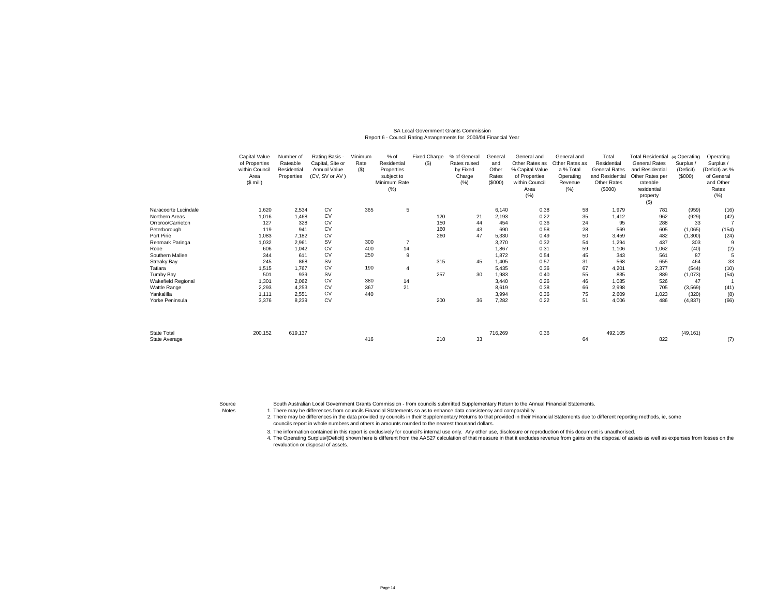# SA Local Government Grants Commission Report 6 - Council Rating Arrangements for 2003/04 Financial Year

|                                     | Capital Value<br>of Properties<br>within Counci<br>Area<br>$($$ mill) | Number of<br>Rateable<br>Residential<br>Properties | Rating Basis -<br>Capital, Site or<br>Annual Value<br>(CV, SV or AV) | Minimum<br>Rate<br>(S) | % of<br>Residential<br>Properties<br>subject to<br>Minimum Rate<br>(%) | <b>Fixed Charge</b><br>$($ \$) | % of General<br>Rates raised<br>by Fixed<br>Charge<br>(% ) | General<br>and<br>Other<br>Rates<br>(\$000) | General and<br>Other Rates as<br>% Capital Value<br>of Properties<br>within Council<br>Area<br>(% ) | General and<br>Other Rates as<br>a % Total<br>Operating<br>Revenue<br>(% ) | Total<br>Residential<br><b>General Rates</b><br>and Residential<br>Other Rates<br>(\$000) | Total Residential (4) Operating<br><b>General Rates</b><br>and Residential<br>Other Rates per<br>rateable<br>residential<br>property<br>$($ \$) | Surplus /<br>(Deficit)<br>(S000) | Operating<br>Surplus /<br>(Deficit) as %<br>of General<br>and Other<br>Rates<br>(% ) |
|-------------------------------------|-----------------------------------------------------------------------|----------------------------------------------------|----------------------------------------------------------------------|------------------------|------------------------------------------------------------------------|--------------------------------|------------------------------------------------------------|---------------------------------------------|-----------------------------------------------------------------------------------------------------|----------------------------------------------------------------------------|-------------------------------------------------------------------------------------------|-------------------------------------------------------------------------------------------------------------------------------------------------|----------------------------------|--------------------------------------------------------------------------------------|
| Naracoorte Lucindale                | 1,620                                                                 | 2.534                                              | CV                                                                   | 365                    | 5                                                                      |                                |                                                            | 6,140                                       | 0.38                                                                                                | 58                                                                         | 1,979                                                                                     | 781                                                                                                                                             | (959)                            | (16)                                                                                 |
| Northern Areas                      | 1,016                                                                 | 1,468                                              | <b>CV</b>                                                            |                        |                                                                        | 120                            | 21                                                         | 2,193                                       | 0.22                                                                                                | 35                                                                         | 1,412                                                                                     | 962                                                                                                                                             | (929)                            | (42)                                                                                 |
| Orroroo/Carrieton                   | 127                                                                   | 328                                                | CV                                                                   |                        |                                                                        | 150                            | 44                                                         | 454                                         | 0.36                                                                                                | 24                                                                         | 95                                                                                        | 288                                                                                                                                             | 33                               |                                                                                      |
| Peterborough                        | 119                                                                   | 941                                                | <b>CV</b>                                                            |                        |                                                                        | 160                            | 43                                                         | 690                                         | 0.58                                                                                                | 28                                                                         | 569                                                                                       | 605                                                                                                                                             | (1,065)                          | (154)                                                                                |
| Port Pirie                          | 1,083                                                                 | 7.182                                              | CV                                                                   |                        |                                                                        | 260                            | 47                                                         | 5,330                                       | 0.49                                                                                                | 50                                                                         | 3,459                                                                                     | 482                                                                                                                                             | (1,300)                          | (24)                                                                                 |
| Renmark Paringa                     | 1,032                                                                 | 2,961                                              | <b>SV</b>                                                            | 300                    |                                                                        |                                |                                                            | 3,270                                       | 0.32                                                                                                | 54                                                                         | 1,294                                                                                     | 437                                                                                                                                             | 303                              |                                                                                      |
| Robe                                | 606                                                                   | 1,042                                              | CV                                                                   | 400                    | 14                                                                     |                                |                                                            | 1,867                                       | 0.31                                                                                                | 59                                                                         | 1,106                                                                                     | 1,062                                                                                                                                           | (40)                             | (2)                                                                                  |
| Southern Mallee                     | 344                                                                   | 611                                                | CV                                                                   | 250                    | 9                                                                      |                                |                                                            | 1,872                                       | 0.54                                                                                                | 45                                                                         | 343                                                                                       | 561                                                                                                                                             | 87                               | 5                                                                                    |
| <b>Streaky Bay</b>                  | 245                                                                   | 868                                                | <b>SV</b>                                                            |                        |                                                                        | 315                            | 45                                                         | 1,405                                       | 0.57                                                                                                | 31                                                                         | 568                                                                                       | 655                                                                                                                                             | 464                              | 33                                                                                   |
| Tatiara                             | 1,515                                                                 | 1,767                                              | CV                                                                   | 190                    | $\overline{4}$                                                         |                                |                                                            | 5,435                                       | 0.36                                                                                                | 67                                                                         | 4,201                                                                                     | 2,377                                                                                                                                           | (544)                            | (10)                                                                                 |
| Tumby Bay                           | 501                                                                   | 939                                                | <b>SV</b>                                                            |                        |                                                                        | 257                            | 30                                                         | 1,983                                       | 0.40                                                                                                | 55                                                                         | 835                                                                                       | 889                                                                                                                                             | (1,073)                          | (54)                                                                                 |
| Wakefield Regional                  | 1,301                                                                 | 2,062                                              | <b>CV</b>                                                            | 380                    | 14                                                                     |                                |                                                            | 3.440                                       | 0.26                                                                                                | 46                                                                         | 1,085                                                                                     | 526                                                                                                                                             | 47                               |                                                                                      |
| Wattle Range                        | 2,293                                                                 | 4,253                                              | <b>CV</b>                                                            | 367                    | 21                                                                     |                                |                                                            | 8,619                                       | 0.38                                                                                                | 66                                                                         | 2,998                                                                                     | 705                                                                                                                                             | (3,569)                          | (41)                                                                                 |
| Yankalilla                          | 1,111                                                                 | 2,551                                              | <b>CV</b>                                                            | 440                    |                                                                        |                                |                                                            | 3,994                                       | 0.36                                                                                                | 75                                                                         | 2,609                                                                                     | 1,023                                                                                                                                           | (320)                            | (8)                                                                                  |
| Yorke Peninsula                     | 3,376                                                                 | 8,239                                              | <b>CV</b>                                                            |                        |                                                                        | 200                            | 36                                                         | 7,282                                       | 0.22                                                                                                | 51                                                                         | 4,006                                                                                     | 486                                                                                                                                             | (4, 837)                         | (66)                                                                                 |
| <b>State Total</b><br>State Average | 200,152                                                               | 619,137                                            |                                                                      | 416                    |                                                                        | 210                            | 33                                                         | 716,269                                     | 0.36                                                                                                | 64                                                                         | 492,105                                                                                   | 822                                                                                                                                             | (49, 161)                        | (7)                                                                                  |

Source

South Australian Local Government Grants Commission - from councils submitted Supplementary Return to the Annual Financial Statements.

Notes 1. There may be differences from councils Financial Statements so as to enhance data consistency and comparability.

2. There may be differences in the data provided by councils in their Supplementary Returns to that provided in their Financial Statements due to different reporting methods, ie, some councils report in whole numbers and others in amounts rounded to the nearest thousand dollars.

3. The information contained in this report is exclusively for council's internal use only. Any other use, disclosure or reproduction of this document is unauthorised.

4. The Operating Surplus/(Deficit) shown here is different from the AAS27 calculation of that measure in that it excludes revenue from gains on the disposal of assets as well as expenses from losses on the revaluation or disposal of assets.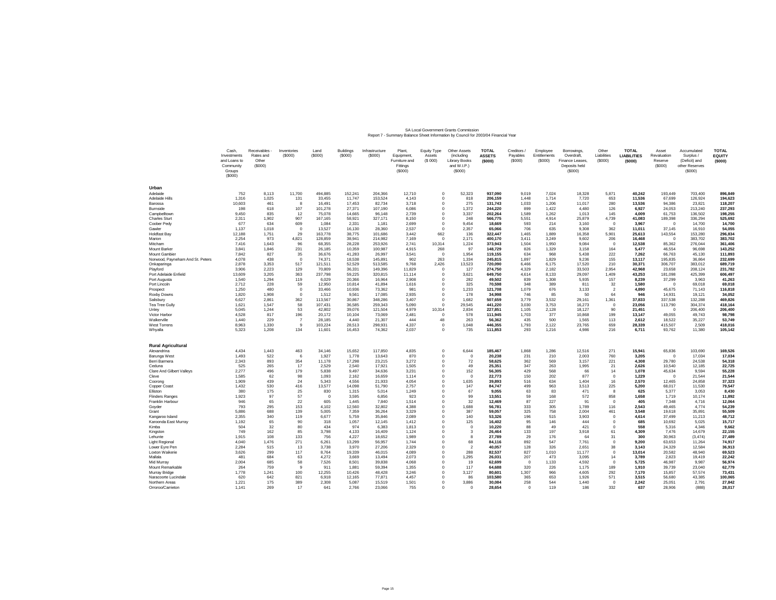## SA Local Government Grants Commission<br>Report 7 - Summary Balance Sheet Information by Council for 2003/04 Financial Year

|                                           | Cash,<br>Investments<br>and Loans to<br>Community<br>Groups<br>(\$000) | Receivables -<br>Rates and<br>Other<br>(\$000) | Inventories<br>(\$000) | Land<br>(\$000)   | Buildings<br>(\$000) | Infrastructure<br>(S000) | Plant.<br>Equipment,<br>Furniture and<br>Fittings<br>(S000) | Equity Type<br>Assets<br>(S 000) | Other Assets<br>(including<br><b>Library Books</b><br>and W.I.P.)<br>(\$000) | <b>TOTAL</b><br><b>ASSETS</b><br>(\$000) | Creditors /<br>Payables<br>(S000) | Employee<br>Entitlements<br>(\$000) | Borrowings,<br>Overdraft,<br>Finance Leases.<br>Deposits held<br>(\$000) | Other<br>Liabilities<br>(S000) | <b>TOTAL</b><br><b>LIABILITIES</b><br>(\$000) | Asset<br>Revaluation<br>Reserve<br>(\$000) | Accumulated<br>Surplus /<br>(Deficit) and<br>other Reserves<br>(\$000) | <b>TOTAL</b><br><b>EQUITY</b><br>(5000) |
|-------------------------------------------|------------------------------------------------------------------------|------------------------------------------------|------------------------|-------------------|----------------------|--------------------------|-------------------------------------------------------------|----------------------------------|------------------------------------------------------------------------------|------------------------------------------|-----------------------------------|-------------------------------------|--------------------------------------------------------------------------|--------------------------------|-----------------------------------------------|--------------------------------------------|------------------------------------------------------------------------|-----------------------------------------|
| Urban                                     |                                                                        |                                                |                        |                   |                      |                          |                                                             |                                  |                                                                              |                                          |                                   |                                     |                                                                          |                                |                                               |                                            |                                                                        |                                         |
| Adelaide                                  | 752                                                                    | 8.113                                          | 11,700                 | 494.885           | 152,241              | 204,366                  | 12,710                                                      | $^{\circ}$                       | 52,323                                                                       | 937.090                                  | 9,019                             | 7,024                               | 18,328                                                                   | 5,871                          | 40,242                                        | 193.449                                    | 703,400                                                                | 896,849                                 |
| Adelaide Hills                            | 1.316                                                                  | 1.025                                          | 131                    | 33,455            | 11.747               | 153,524                  | 4.143                                                       | $\Omega$                         | 818                                                                          | 206,159                                  | 1.448                             | 1.714                               | 7.720                                                                    | 653                            | 11.536                                        | 67.699                                     | 126.924                                                                | 194,623                                 |
| Barossa                                   | 10,603                                                                 | 461                                            | 8                      | 16,491            | 17,453               | 82,734                   | 3,718                                                       | $^{\circ}$                       | 275                                                                          | 131,743                                  | 1,033                             | 1,206                               | 11,017                                                                   | 280                            | 13,536                                        | 94,386                                     | 23,821                                                                 | 118,207                                 |
| Burnside                                  | 198                                                                    | 618                                            | 107                    | 101,278           | 27,371               | 107,190                  | 6,086                                                       | $\Omega$                         | 1,372                                                                        | 244,220                                  | 899                               | 1,422                               | 4,480                                                                    | 126                            | 6,927                                         | 24,053                                     | 213,240                                                                | 237,293                                 |
| Campbelltown                              | 9,450                                                                  | 835                                            | 12                     | 75,078            | 14,665               | 96,148                   | 2,739                                                       | $\Omega$<br>$\Omega$             | 3,337                                                                        | 202,264                                  | 1,589                             | 1,262                               | 1,013                                                                    | 145                            | 4.009                                         | 61,753                                     | 136,502                                                                | 198,255                                 |
| <b>Charles Sturt</b><br>Coober Pedv       | 2,311<br>677                                                           | 1,902<br>634                                   | 907<br>609             | 167,165<br>1,084  | 58,921<br>2.331      | 327,171<br>1.181         | 8,150<br>2.699                                              | $\Omega$                         | 248<br>9.454                                                                 | 566,775<br>18,669                        | 5,551<br>593                      | 4,914<br>214                        | 25,879<br>3.160                                                          | 4,739<br>$\Omega$              | 41,083<br>3.967                               | 189,398<br>$\Omega$                        | 336,294<br>14,700                                                      | 525,692<br>14,700                       |
| Gawler                                    | 1,137                                                                  | 1,018                                          | $\circ$                | 13,527            | 16,130               | 28,360                   | 2,537                                                       | $\Omega$                         | 2,357                                                                        | 65,066                                   | 706                               | 635                                 | 9,308                                                                    | 362                            | 11,011                                        | 37,145                                     | 16,910                                                                 | 54,055                                  |
| <b>Holdfast Bay</b>                       | 12.188                                                                 | 1.751                                          | 29                     | 163,778           | 38.775               | 101.686                  | 3.442                                                       | 662                              | 136                                                                          | 322,447                                  | 1.465                             | 1.889                               | 16.358                                                                   | 5.901                          | 25,613                                        | 143.554                                    | 153,280                                                                | 296.834                                 |
| Marion                                    | 2,254                                                                  | 973                                            | 4,821                  | 128,859           | 38,941               | 214,982                  | 7,169                                                       | $\Omega$                         | 2,171                                                                        | 400.170                                  | 3,411                             | 3,249                               | 9,602                                                                    | 206                            | 16,468                                        | $\Omega$                                   | 383,702                                                                | 383,702                                 |
| Mitcham                                   | 7,416                                                                  | 1,643                                          | 96                     | 68,355            | 28,228               | 253,926                  | 2,741                                                       | 10,314                           | 1,224                                                                        | 373,943                                  | 1,504                             | 1,950                               | 9,084                                                                    | $\Omega$                       | 12,538                                        | 85,362                                     | 276,044                                                                | 361,406                                 |
| Mount Barker                              | 3.841                                                                  | 1.846                                          | 231                    | 26,185            | 10,359               | 100,987                  | 4.915                                                       | 268                              | 97                                                                           | 148,729                                  | 826                               | 1,329                               | 3,158                                                                    | 164                            | 5,477                                         | 46,554                                     | 96,698                                                                 | 143,252                                 |
| Mount Gambier                             | 7,842                                                                  | 827                                            | 35                     | 36,676            | 41,283               | 26,997                   | 3,541                                                       | $\mathbf{0}$                     | 1,954                                                                        | 119,155                                  | 634                               | 968                                 | 5,438                                                                    | 222                            | 7,262                                         | 66,763                                     | 45,130                                                                 | 111,893                                 |
| Norwood, Payneham And St. Peters          | 4.078                                                                  | 438                                            | $\circ$                | 74,371            | 18,538               | 145,891                  | 902                                                         | 263                              | 1.334                                                                        | 245.815                                  | 1,897                             | 1.829                               | 9.236                                                                    | 155                            | 13.117                                        | 195,835                                    | 36.864                                                                 | 232,699                                 |
| Onkaparinga                               | 2,878                                                                  | 3,353<br>2.223                                 | 517                    | 121,511           | 52,529               | 513,585                  | 9,768                                                       | 2,426                            | 13,523                                                                       | 720,090                                  | 6,466                             | 6,175                               | 17,520                                                                   | 210                            | 30,371                                        | 306,707                                    | 383,012                                                                | 689,719                                 |
| Playford<br>Port Adelaide Enfield         | 3,906<br>13,609                                                        | 3.205                                          | 129<br>363             | 70,809<br>237,798 | 36,331<br>59,225     | 149,396<br>320,815       | 11,829<br>11.114                                            | $^{\circ}$<br>$\mathbf 0$        | 127<br>3,621                                                                 | 274.750<br>649.750                       | 4,329<br>4,614                    | 2,182<br>8.133                      | 33,503<br>29,097                                                         | 2,954<br>1.409                 | 42,968<br>43.253                              | 23,658<br>181.098                          | 208,124<br>425,399                                                     | 231,782<br>606,497                      |
| Port Augusta                              | 1.540                                                                  | 1.294                                          | 119                    | 6,029             | 20,366               | 16,964                   | 2.908                                                       | $^{\circ}$                       | 282                                                                          | 49.502                                   | 839                               | 1,308                               | 5,935                                                                    | 157                            | 8.239                                         | 37,299                                     | 3,963                                                                  | 41,263                                  |
| Port Lincoln                              | 2.712                                                                  | 228                                            | 59                     | 12.950            | 10.814               | 41,894                   | 1.616                                                       | $\Omega$                         | 325                                                                          | 70.598                                   | 348                               | 389                                 | 811                                                                      | 32                             | 1,580                                         | $\Omega$                                   | 69.018                                                                 | 69.018                                  |
| Prospect                                  | 1,250                                                                  | 480                                            | $\circ$                | 33,466            | 10,936               | 73,362                   | 981                                                         | $\Omega$                         | 1,233                                                                        | 121,708                                  | 1,079                             | 676                                 | 3,133                                                                    | $\overline{2}$                 | 4,890                                         | 45,675                                     | 71,143                                                                 | 116,818                                 |
| Roxby Downs                               | 1,820                                                                  | 1,908                                          | $\circ$                | 1,512             | 9,561                | 17,085                   | 2,935                                                       | $\Omega$                         | 178                                                                          | 34,998                                   | 746                               | 85                                  | 50                                                                       | 64                             | 946                                           | 14,931                                     | 19,121                                                                 | 34,052                                  |
| Salisbury                                 | 6,627                                                                  | 2,861                                          | 362                    | 113,567           | 30,867               | 348,286                  | 3,407                                                       | $\mathbf 0$                      | 1,682                                                                        | 507,659                                  | 3,779                             | 3,532                               | 29,161                                                                   | 1,361                          | 37,833                                        | 337,538                                    | 132,288                                                                | 469,826                                 |
| <b>Tea Tree Gully</b>                     | 1,621                                                                  | 1,547                                          | 58                     | 107.431           | 36,585               | 259,343                  | 5,090                                                       | $\Omega$                         | 29,545                                                                       | 441.220                                  | 3,030                             | 3.753                               | 16,273                                                                   | $\Omega$                       | 23,056                                        | 113,790                                    | 304.374                                                                | 418,164                                 |
| Unlev                                     | 5.045                                                                  | 1.244                                          | 53                     | 42.802            | 39.076               | 121.504                  | 4.979                                                       | 10,314                           | 2.834                                                                        | 227.851                                  | 1.105                             | 2.128                               | 18.127                                                                   | 90                             | 21.451                                        | $\Omega$                                   | 206,400                                                                | 206.400                                 |
| Victor Harbor                             | 4,528<br>1.440                                                         | 817<br>229                                     | 196<br>$\overline{7}$  | 20,172<br>28.185  | 10,104<br>4.440      | 73,069                   | 2,481<br>444                                                | $\overline{0}$<br>48             | 578<br>263                                                                   | 111,945<br>56,362                        | 1,703<br>435                      | 377<br>500                          | 10,868<br>1.565                                                          | 199<br>113                     | 13,147<br>2.612                               | 49,055<br>18.522                           | 49,743<br>35.227                                                       | 98,798<br>53.749                        |
| Walkerville<br>West Torrens               | 8,963                                                                  | 1,330                                          | 9                      | 103,224           | 28,513               | 21,307<br>298,931        | 4,337                                                       | $^{\circ}$                       | 1,048                                                                        | 446.355                                  | 1,793                             | 2,122                               | 23,765                                                                   | 659                            | 28,339                                        | 415,507                                    | 2,509                                                                  | 418,016                                 |
| Whyalla                                   | 5,323                                                                  | 1,208                                          | 134                    | 11,601            | 16,453               | 74,362                   | 2,037                                                       | $^{\circ}$                       | 735                                                                          | 111,853                                  | 293                               | 1,216                               | 4,986                                                                    | 216                            | 6,711                                         | 93,762                                     | 11,380                                                                 | 105,142                                 |
| <b>Rural Agricultural</b>                 |                                                                        |                                                |                        |                   |                      |                          |                                                             |                                  |                                                                              |                                          |                                   |                                     |                                                                          |                                |                                               |                                            |                                                                        |                                         |
| Alexandrina                               | 4.434                                                                  | 1.443                                          | 463                    | 34,146            | 15,652               | 117,850                  | 4,835                                                       | $\mathbf 0$                      | 6,644                                                                        | 185.467                                  | 1,868                             | 1,286                               | 12,516                                                                   | 271                            | 15.941                                        | 65,836                                     | 103,690                                                                | 169,526                                 |
| Barunga West                              | 1,493                                                                  | 522                                            | 6                      | 1,927             | 1,778                | 13,643                   | 870                                                         | $\Omega$                         | $\mathbf{0}$                                                                 | 20,238                                   | 231                               | 210                                 | 2,003                                                                    | 760                            | 3,205                                         | $\Omega$                                   | 17,034                                                                 | 17,034                                  |
| <b>Berri Barmera</b>                      | 2,343                                                                  | 893                                            | 354                    | 11,178            | 17,298               | 23,215                   | 3,272                                                       | $\Omega$                         | 72                                                                           | 58,625                                   | 362                               | 569                                 | 3,157                                                                    | 221                            | 4,308                                         | 29,780                                     | 24,538                                                                 | 54,318                                  |
| Ceduna                                    | 525                                                                    | 265                                            | 17                     | 2,529             | 2,540                | 17,921                   | 1,505                                                       | $\mathbf 0$                      | 49                                                                           | 25,351                                   | 347                               | 263                                 | 1,995                                                                    | 21                             | 2,626                                         | 10,540                                     | 12,185                                                                 | 22,725                                  |
| <b>Clare And Gilbert Valleys</b><br>Cleve | 2,277<br>1.585                                                         | 496<br>62                                      | 179<br>98              | 5,838<br>1.093    | 9,497<br>2.162       | 34,636<br>16.659         | 3,231<br>1.114                                              | $\Omega$<br>$\Omega$             | 152<br>$\mathbf{0}$                                                          | 56,305<br>22.773                         | 429<br>150                        | 568<br>202                          | 66<br>877                                                                | 14<br>$\Omega$                 | 1,078<br>1.229                                | 45,634<br>$\Omega$                         | 9,594<br>21.544                                                        | 55,228<br>21,544                        |
| Coorong                                   | 1,909                                                                  | 439                                            | 24                     | 5,343             | 4,556                | 21,933                   | 4,054                                                       | $\Omega$                         | 1,635                                                                        | 39,893                                   | 516                               | 634                                 | 1,404                                                                    | 16                             | 2,570                                         | 12,465                                     | 24,858                                                                 | 37,323                                  |
| Copper Coast                              | 1.432                                                                  | 530                                            | 416                    | 13,577            | 14.098               | 51.790                   | 2.757                                                       | $\Omega$                         | 147                                                                          | 84.747                                   | 499                               | 963                                 | 3.513                                                                    | 225                            | 5.200                                         | 68.017                                     | 11.530                                                                 | 79,547                                  |
| Elliston                                  | 380                                                                    | 175                                            | 25                     | 830               | 1,315                | 5,014                    | 1,249                                                       | $^{\circ}$                       | 67                                                                           | 9,055                                    | 63                                | 83                                  | 471                                                                      | 8                              | 625                                           | 5,377                                      | 3,053                                                                  | 8,430                                   |
| <b>Flinders Ranges</b>                    | 1.923                                                                  | 97                                             | 57                     | $\Omega$          | 3.595                | 6.856                    | 923                                                         | $\Omega$                         | 99                                                                           | 13.551                                   | 59                                | 168                                 | 572                                                                      | 858                            | 1.658                                         | 1.719                                      | 10.174                                                                 | 11,892                                  |
| Franklin Harbour                          | 946                                                                    | 65                                             | 22                     | 605               | 1.445                | 7,840                    | 1.514                                                       | $\Omega$                         | 32                                                                           | 12,469                                   | 87                                | 227                                 | 91                                                                       | $\Omega$                       | 405                                           | 7,348                                      | 4,716                                                                  | 12,064                                  |
| Goyder                                    | 793                                                                    | 295                                            | 153                    | 4,102             | 12,560               | 32,802                   | 4,388                                                       | $\Omega$                         | 1,688                                                                        | 56,781                                   | 333                               | 305                                 | 1,789                                                                    | 116                            | 2,543                                         | 49,465                                     | 4,774                                                                  | 54,239                                  |
| Grant                                     | 5.886                                                                  | 688                                            | 139                    | 5,005             | 7,359                | 36,264                   | 3,329                                                       | $\Omega$                         | 387                                                                          | 59.057                                   | 325                               | 758                                 | 2.004                                                                    | 461                            | 3.548                                         | 19,618                                     | 35,891                                                                 | 55,509                                  |
| Kangaroo Island<br>Karoonda East Murray   | 2,355<br>1,192                                                         | 340<br>65                                      | 119<br>90              | 6,677<br>318      | 5,759<br>1,057       | 35,846<br>12,145         | 2,089<br>1,412                                              | $\Omega$<br>$\Omega$             | 140<br>125                                                                   | 53,326<br>16,402                         | 196<br>95                         | 515<br>146                          | 3,903<br>444                                                             | $\circ$<br>$\Omega$            | 4,614<br>685                                  | 37,499<br>10,692                           | 11,213<br>5,025                                                        | 48,712<br>15,717                        |
| Kimba                                     | 504                                                                    | 32                                             | 80                     | 434               | 974                  | 6,383                    | 1.813                                                       | $\Omega$                         | $\Omega$                                                                     | 10.220                                   | 88                                | 49                                  | 421                                                                      | $\Omega$                       | 558                                           | 5,316                                      | 4,346                                                                  | 9,662                                   |
| Kingston                                  | 749                                                                    | 162                                            | 85                     | 3.798             | 4,133                | 16,409                   | 1,124                                                       | $^{\circ}$                       | 3                                                                            | 26.464                                   | 133                               | 197                                 | 3.918                                                                    | 61                             | 4.309                                         | 7,476                                      | 14,679                                                                 | 22,155                                  |
| Lehunte                                   | 1.915                                                                  | 108                                            | 133                    | 756               | 4,227                | 18,652                   | 1.989                                                       | $\Omega$                         | 8                                                                            | 27.789                                   | 29                                | 176                                 | 64                                                                       | 31                             | 300                                           | 30,963                                     | (3, 474)                                                               | 27,489                                  |
| Light Regional                            | 4,040                                                                  | 1,476                                          | 271                    | 6,261             | 13,299               | 56,957                   | 1,744                                                       | $^{\circ}$                       | 68                                                                           | 84,116                                   | 892                               | 547                                 | 7,761                                                                    | $\Omega$                       | 9,200                                         | 63,653                                     | 11,264                                                                 | 74,917                                  |
| Lower Eyre Pen                            | 2,284                                                                  | 515                                            | 13                     | 3,738             | 3,970                | 27,206                   | 2,329                                                       | $\Omega$                         | $\overline{2}$                                                               | 40,057                                   | 128                               | 326                                 | 2,651                                                                    | 38                             | 3,143                                         | 24,329                                     | 12,584                                                                 | 36,913                                  |
| Loxton Waikerie                           | 3,626                                                                  | 299                                            | 117                    | 8,764             | 19,339               | 46,015                   | 4,089                                                       | $\Omega$                         | 288                                                                          | 82,537                                   | 827                               | 1,010                               | 11,177                                                                   | $\circ$                        | 13,014                                        | 20,582                                     | 48,940                                                                 | 69,523                                  |
| Mallala                                   | 481                                                                    | 684                                            | 63                     | 4,272             | 3,669                | 13,494                   | 2,073                                                       | $\Omega$                         | 1,295                                                                        | 26,031                                   | 207                               | 473                                 | 3,095                                                                    | 14                             | 3,789                                         | 2,823                                      | 19,419                                                                 | 22,242                                  |
| Mid Murrav                                | 2.004<br>264                                                           | 685<br>759                                     | 58<br>9                | 7,526<br>911      | 8,501<br>1,881       | 39,838<br>59,394         | 4.068<br>1,355                                              | $\Omega$<br>$\Omega$             | 19<br>117                                                                    | 62.699<br>64,688                         | $\mathbf{0}$<br>320               | 1.133<br>226                        | 4.592<br>1,175                                                           | $^{\circ}$<br>189              | 5.725<br>1,910                                | 46.987<br>39,739                           | 9,987<br>23,040                                                        | 56,974<br>62,779                        |
| Mount Remarkable<br>Murrav Bridge         | 1.778                                                                  | 1.241                                          | 100                    | 12.255            | 10.426               | 48.428                   | 3.246                                                       | $\Omega$                         | 3.127                                                                        | 80.601                                   | 1.307                             | 966                                 | 4.605                                                                    | 292                            | 7.170                                         | 15.857                                     | 57.574                                                                 | 73,431                                  |
| Naracoorte Lucindale                      | 620                                                                    | 642                                            | 821                    | 6.918             | 12.165               | 77,871                   | 4.457                                                       | $\Omega$                         | 86                                                                           | 103,580                                  | 365                               | 653                                 | 1,926                                                                    | 571                            | 3,515                                         | 56,680                                     | 43,385                                                                 | 100,065                                 |
| Northern Areas                            | 1,221                                                                  | 175                                            | 389                    | 2,308             | 5,087                | 15,519                   | 1,501                                                       | $\Omega$                         | 3,886                                                                        | 30,084                                   | 258                               | 544                                 | 1,440                                                                    | $\Omega$                       | 2,242                                         | 25,051                                     | 2,791                                                                  | 27,842                                  |
| Orroroo/Carrieton                         | 1.141                                                                  | 269                                            | 17                     | 641               | 2.766                | 23,066                   | 755                                                         | $\Omega$                         | $\Omega$                                                                     | 28.654                                   | $\circ$                           | 119                                 | 186                                                                      | 332                            | 637                                           | 28,906                                     | (888)                                                                  | 28,017                                  |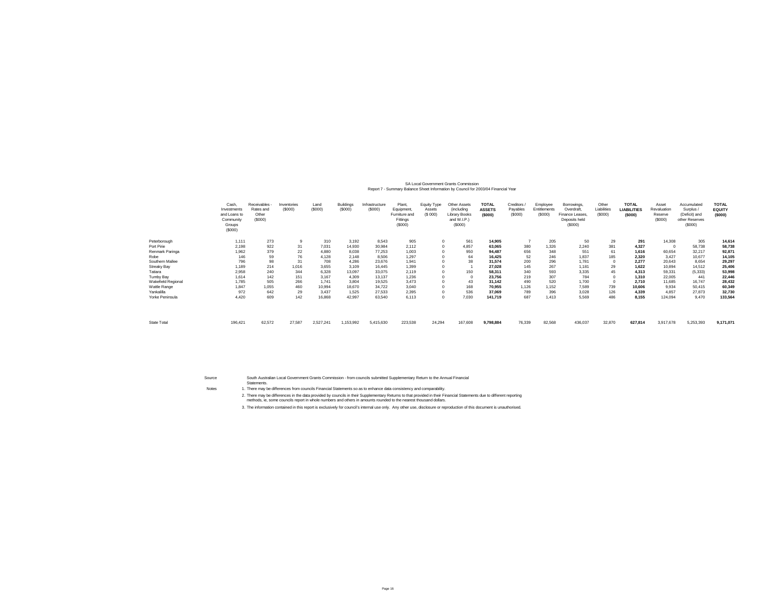## SA Local Government Grants Commission<br>Report 7 - Summary Balance Sheet Information by Council for 2003/04 Financial Year

|                    | Cash<br>Investments<br>and Loans to<br>Community<br>Groups<br>(\$000) | Receivables -<br>Rates and<br>Other<br>(\$000) | Inventories<br>(\$000) | Land<br>(S000) | Buildings<br>(\$000) | Infrastructure<br>(S000) | Plant.<br>Equipment<br>Furniture and<br>Fittings<br>(S000) | Equity Type<br>Assets<br>(S 000) | Other Assets<br>(including<br><b>Library Books</b><br>and W.I.P.)<br>(\$000) | <b>TOTAL</b><br><b>ASSETS</b><br>(\$000) | Creditors.<br>Payables<br>(S000) | Employee<br>Entitlements<br>(\$000] | Borrowings,<br>Overdraft.<br>Finance Leases,<br>Deposits held<br>(\$000) | Other<br>Liabilities<br>(S000) | <b>TOTAL</b><br><b>LIABILITIES</b><br>(\$000) | Asset<br>Revaluation<br>Reserve<br>(\$000) | Accumulated<br>Surplus /<br>(Deficit) and<br>other Reserves<br>(\$000) | <b>TOTAL</b><br><b>EQUITY</b><br>(5000) |
|--------------------|-----------------------------------------------------------------------|------------------------------------------------|------------------------|----------------|----------------------|--------------------------|------------------------------------------------------------|----------------------------------|------------------------------------------------------------------------------|------------------------------------------|----------------------------------|-------------------------------------|--------------------------------------------------------------------------|--------------------------------|-----------------------------------------------|--------------------------------------------|------------------------------------------------------------------------|-----------------------------------------|
| Peterborough       | 1,111                                                                 | 273                                            |                        | 310            | 3.192                | 8.543                    | 905                                                        |                                  | 561                                                                          | 14,905                                   |                                  | 205                                 | 50                                                                       | 29                             | 291                                           | 14,308                                     | 305                                                                    | 14,614                                  |
| Port Pirie         | 2,198                                                                 | 922                                            | 31                     | 7,031          | 14,930               | 30,984                   | 2.112                                                      |                                  | 4,857                                                                        | 63,065                                   | 380                              | 1,326                               | 2.240                                                                    | 381                            | 4,327                                         | $\Omega$                                   | 58,738                                                                 | 58,738                                  |
| Renmark Paringa    | 1,962                                                                 | 379                                            | 22                     | 4,880          | 8,038                | 77.253                   | 1,003                                                      |                                  | 950                                                                          | 94,487                                   | 656                              | 348                                 | 551                                                                      | 61                             | 1,616                                         | 60,654                                     | 32,217                                                                 | 92,87                                   |
| Robe               | 146                                                                   | 59                                             | 76                     | 4,128          | 2.148                | 8,506                    | 1.297                                                      |                                  | 64                                                                           | 16,425                                   | 52                               | 246                                 | 1.837                                                                    | 185                            | 2,320                                         | 3.427                                      | 10,677                                                                 | 14,105                                  |
| Southern Mallee    | 796                                                                   | 98                                             | 31                     | 708            | 4,286                | 23,676                   | 1.941                                                      |                                  | 38                                                                           | 31,574                                   | 200                              | 296                                 | 1.781                                                                    | $^{\circ}$                     | 2,277                                         | 20,643                                     | 8,654                                                                  | 29,297                                  |
| <b>Streaky Bay</b> | 1,189                                                                 | 214                                            | 1,016                  | 3,655          | 3.109                | 16.445                   | 1.399                                                      |                                  |                                                                              | 27,028                                   | 145                              | 267                                 | 1.181                                                                    | 29                             | 1.622                                         | 10,894                                     | 14,512                                                                 | 25,406                                  |
| Tatiara            | 2,958                                                                 | 240                                            | 344                    | 6,328          | 13,097               | 33,075                   | 2,119                                                      |                                  | 150                                                                          | 58,311                                   | 340                              | 593                                 | 3,335                                                                    | 45                             | 4,313                                         | 59,331                                     | (5, 333)                                                               | 53,998                                  |
| Tumby Bay          | 1.614                                                                 | 142                                            | 151                    | 3,167          | 4,309                | 13,137                   | 1,236                                                      |                                  |                                                                              | 23,756                                   | 219                              | 307                                 | 784                                                                      | $\Omega$                       | 1,310                                         | 22,005                                     | 441                                                                    | 22,446                                  |
| Wakefield Regional | 1,785                                                                 | 505                                            | 266                    | 1,741          | 3,804                | 19,525                   | 3.473                                                      |                                  | 43                                                                           | 31,142                                   | 490                              | 520                                 | 1,700                                                                    | $\Omega$                       | 2,710                                         | 11,685                                     | 16,747                                                                 | 28,432                                  |
| Wattle Range       | 1.847                                                                 | 1.055                                          | 460                    | 10,994         | 18,670               | 34,722                   | 3.040                                                      |                                  | 168                                                                          | 70,955                                   | 1,126                            | 1.152                               | 7.589                                                                    | 739                            | 10.606                                        | 9,934                                      | 50,415                                                                 | 60,349                                  |
| Yankalilla         | 972                                                                   | 642                                            | 29                     | 3,437          | 1,525                | 27,533                   | 2,395                                                      |                                  | 536                                                                          | 37,069                                   | 789                              | 396                                 | 3,028                                                                    | 126                            | 4,339                                         | 4,857                                      | 27,873                                                                 | 32,730                                  |
| Yorke Peninsula    | 4,420                                                                 | 609                                            | 142                    | 16,868         | 42,997               | 63,540                   | 6,113                                                      |                                  | 7,030                                                                        | 141,719                                  | 687                              | 1.413                               | 5.569                                                                    | 486                            | 8,155                                         | 124,094                                    | 9,470                                                                  | 133,564                                 |
| State Total        | 196,421                                                               | 62,572                                         | 27,587                 | 2,527,241      | 1,153,992            | 5,415,630                | 223,538                                                    | 24,294                           | 167,608                                                                      | 9,798,884                                | 76,339                           | 82,568                              | 436,037                                                                  | 32,870                         | 627,814                                       | 3,917,678                                  | 5,253,393                                                              | 9,171,071                               |

SourceNotes

South Australian Local Government Grants Commission - from councils submitted Supplementary Return to the Annual Financial

Statements.

There may be differences from councils Financial Statements so as to enhance data consistency and comparability.

2. There may be differences in the data provided by councils in their Supplementary Returns to that provided in their Financial Statements due to different reporting<br>methods, ie, some councils report in whole numbers and o

3. The information contained in this report is exclusively for council's internal use only. Any other use, disclosure or reproduction of this document is unauthorised.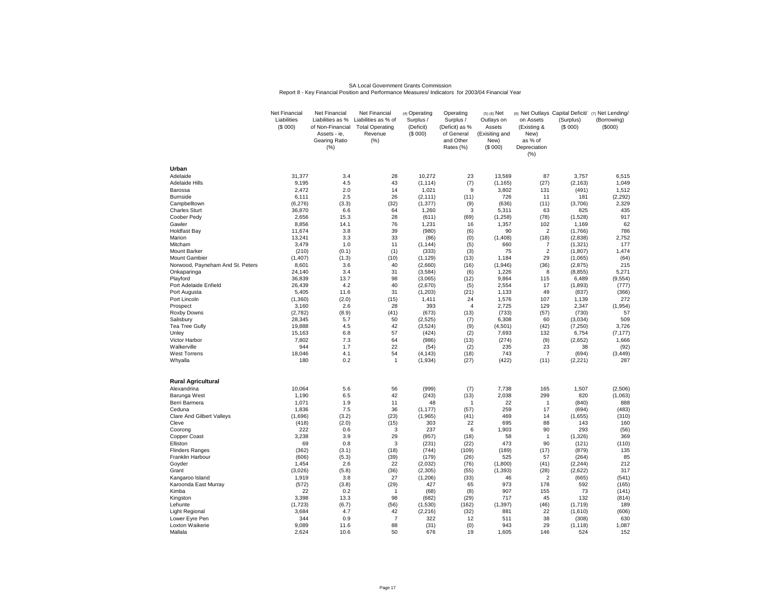#### SA Local Government Grants CommissionReport 8 - Key Financial Position and Performance Measures/ Indicators for 2003/04 Financial Year

|                                       | <b>Net Financial</b><br>Liabilities<br>(\$000) | <b>Net Financial</b><br>Liabilities as %<br>of Non-Financial<br>Assets - ie,<br>Gearing Ratio<br>(% ) | Net Financial<br>Liabilities as % of<br><b>Total Operating</b><br>Revenue<br>(% ) | (4) Operating<br>Surplus /<br>(Deficit)<br>(\$000) | Operating<br>Surplus /<br>(Deficit) as %<br>of General<br>and Other<br>Rates (%) | $(5)$ $(6)$ Net<br>Outlays on<br>Assets<br>(Exisiting and<br>New)<br>(\$000) | on Assets<br>(Existing &<br>New)<br>as % of<br>Depreciation<br>(% ) | (Surplus)<br>(S 000) | (6) Net Outlays Capital Deficit/ (7) Net Lending/<br>(Borrowing)<br>(\$000) |
|---------------------------------------|------------------------------------------------|-------------------------------------------------------------------------------------------------------|-----------------------------------------------------------------------------------|----------------------------------------------------|----------------------------------------------------------------------------------|------------------------------------------------------------------------------|---------------------------------------------------------------------|----------------------|-----------------------------------------------------------------------------|
| Urban                                 |                                                |                                                                                                       |                                                                                   |                                                    |                                                                                  |                                                                              |                                                                     |                      |                                                                             |
| Adelaide                              | 31,377                                         | 3.4                                                                                                   | 28                                                                                | 10,272                                             | 23                                                                               | 13,569                                                                       | 87                                                                  | 3,757                | 6,515                                                                       |
| <b>Adelaide Hills</b>                 | 9,195                                          | 4.5                                                                                                   | 43                                                                                | (1, 114)                                           | (7)                                                                              | (1, 165)                                                                     | (27)                                                                | (2, 163)             | 1,049                                                                       |
| Barossa                               | 2,472                                          | 2.0                                                                                                   | 14                                                                                | 1,021                                              | 9                                                                                | 3,802                                                                        | 131                                                                 | (491)                | 1,512                                                                       |
| <b>Burnside</b>                       | 6,111                                          | 2.5                                                                                                   | 26                                                                                | (2, 111)                                           | (11)                                                                             | 726                                                                          | 11                                                                  | 181                  | (2, 292)                                                                    |
| Campbelltown<br><b>Charles Sturt</b>  | (6, 276)<br>36,870                             | (3.3)<br>6.6                                                                                          | (32)<br>64                                                                        | (1, 377)<br>1,260                                  | (9)<br>3                                                                         | (636)<br>5,311                                                               | (11)<br>63                                                          | (3,706)<br>825       | 2,329<br>435                                                                |
| Coober Pedy                           | 2,656                                          | 15.3                                                                                                  | 28                                                                                | (611)                                              | (69)                                                                             | (1, 258)                                                                     | (78)                                                                | (1,528)              | 917                                                                         |
| Gawler                                | 8,856                                          | 14.1                                                                                                  | 76                                                                                | 1,231                                              | 16                                                                               | 1,357                                                                        | 102                                                                 | 1,169                | 62                                                                          |
| <b>Holdfast Bay</b>                   | 11,674                                         | 3.8                                                                                                   | 39                                                                                | (980)                                              | (6)                                                                              | 90                                                                           | $\overline{2}$                                                      | (1,766)              | 786                                                                         |
| Marion                                | 13,241                                         | 3.3                                                                                                   | 33                                                                                | (86)                                               | (0)                                                                              | (1, 408)                                                                     | (18)                                                                | (2,838)              | 2,752                                                                       |
| Mitcham                               | 3,479                                          | 1.0                                                                                                   | 11                                                                                | (1, 144)                                           | (5)                                                                              | 660                                                                          | $\overline{7}$                                                      | (1, 321)             | 177                                                                         |
| Mount Barker                          | (210)                                          | (0.1)                                                                                                 | (1)                                                                               | (333)                                              | (3)                                                                              | 75                                                                           | $\overline{2}$                                                      | (1, 807)             | 1,474                                                                       |
| Mount Gambier                         | (1, 407)                                       | (1.3)                                                                                                 | (10)                                                                              | (1, 129)                                           | (13)                                                                             | 1,184                                                                        | 29                                                                  | (1,065)              | (64)                                                                        |
| Norwood, Payneham And St. Peters      | 8,601                                          | 3.6                                                                                                   | 40                                                                                | (2,660)                                            | (16)                                                                             | (1,946)                                                                      | (36)                                                                | (2,875)              | 215                                                                         |
| Onkaparinga                           | 24,140                                         | 3.4                                                                                                   | 31                                                                                | (3, 584)                                           | (6)                                                                              | 1,226                                                                        | 8                                                                   | (8, 855)             | 5,271                                                                       |
| Playford                              | 36,839                                         | 13.7                                                                                                  | 98                                                                                | (3,065)                                            | (12)                                                                             | 9,864                                                                        | 115                                                                 | 6,489                | (9, 554)                                                                    |
| Port Adelaide Enfield<br>Port Augusta | 26,439<br>5,405                                | 4.2<br>11.6                                                                                           | 40<br>31                                                                          | (2,670)<br>(1, 203)                                | (5)<br>(21)                                                                      | 2,554<br>1,133                                                               | 17<br>49                                                            | (1,893)<br>(837)     | (777)<br>(366)                                                              |
| Port Lincoln                          | (1,360)                                        | (2.0)                                                                                                 | (15)                                                                              | 1,411                                              | 24                                                                               | 1,576                                                                        | 107                                                                 | 1,139                | 272                                                                         |
| Prospect                              | 3,160                                          | 2.6                                                                                                   | 28                                                                                | 393                                                | $\overline{4}$                                                                   | 2,725                                                                        | 129                                                                 | 2,347                | (1, 954)                                                                    |
| Roxby Downs                           | (2,782)                                        | (8.9)                                                                                                 | (41)                                                                              | (673)                                              | (13)                                                                             | (733)                                                                        | (57)                                                                | (730)                | 57                                                                          |
| Salisbury                             | 28,345                                         | 5.7                                                                                                   | 50                                                                                | (2, 525)                                           | (7)                                                                              | 6,308                                                                        | 60                                                                  | (3,034)              | 509                                                                         |
| <b>Tea Tree Gully</b>                 | 19.888                                         | 4.5                                                                                                   | 42                                                                                | (3,524)                                            | (9)                                                                              | (4,501)                                                                      | (42)                                                                | (7, 250)             | 3,726                                                                       |
| Unley                                 | 15,163                                         | 6.8                                                                                                   | 57                                                                                | (424)                                              | (2)                                                                              | 7,693                                                                        | 132                                                                 | 6,754                | (7, 177)                                                                    |
| Victor Harbor                         | 7,802                                          | 7.3                                                                                                   | 64                                                                                | (986)                                              | (13)                                                                             | (274)                                                                        | (9)                                                                 | (2,652)              | 1,666                                                                       |
| Walkerville                           | 944                                            | 1.7                                                                                                   | 22                                                                                | (54)                                               | (2)                                                                              | 235                                                                          | 23                                                                  | 38                   | (92)                                                                        |
| <b>West Torrens</b>                   | 18,046                                         | 4.1                                                                                                   | 54                                                                                | (4, 143)                                           | (18)                                                                             | 743                                                                          | $\overline{7}$                                                      | (694)                | (3, 449)                                                                    |
| Whyalla                               | 180                                            | 0.2                                                                                                   | $\mathbf{1}$                                                                      | (1,934)                                            | (27)                                                                             | (422)                                                                        | (11)                                                                | (2,221)              | 287                                                                         |
| <b>Rural Agricultural</b>             |                                                |                                                                                                       |                                                                                   |                                                    |                                                                                  |                                                                              |                                                                     |                      |                                                                             |
| Alexandrina                           | 10,064                                         | 5.6                                                                                                   | 56                                                                                | (999)                                              | (7)                                                                              | 7,738                                                                        | 165                                                                 | 1,507                | (2, 506)                                                                    |
| Barunga West                          | 1,190                                          | 6.5                                                                                                   | 42                                                                                | (243)                                              | (13)                                                                             | 2,038                                                                        | 299                                                                 | 820                  | (1,063)                                                                     |
| Berri Barmera                         | 1,071                                          | 1.9                                                                                                   | 11                                                                                | 48                                                 | $\mathbf{1}$                                                                     | 22                                                                           | $\mathbf{1}$                                                        | (840)                | 888                                                                         |
| Ceduna                                | 1,836                                          | 7.5                                                                                                   | 36                                                                                | (1, 177)                                           | (57)                                                                             | 259                                                                          | 17                                                                  | (694)                | (483)                                                                       |
| Clare And Gilbert Valleys             | (1,696)                                        | (3.2)                                                                                                 | (23)                                                                              | (1, 965)                                           | (41)                                                                             | 469                                                                          | 14                                                                  | (1,655)              | (310)                                                                       |
| Cleve                                 | (418)                                          | (2.0)                                                                                                 | (15)                                                                              | 303<br>237                                         | 22                                                                               | 695<br>1,903                                                                 | 88<br>90                                                            | 143<br>293           | 160                                                                         |
| Coorong<br><b>Copper Coast</b>        | 222<br>3,238                                   | 0.6<br>3.9                                                                                            | 3<br>29                                                                           | (957)                                              | 6<br>(18)                                                                        | 58                                                                           | $\overline{1}$                                                      | (1, 326)             | (56)<br>369                                                                 |
| Elliston                              | 69                                             | 0.8                                                                                                   | 3                                                                                 | (231)                                              | (22)                                                                             | 473                                                                          | 90                                                                  | (121)                | (110)                                                                       |
| <b>Flinders Ranges</b>                | (362)                                          | (3.1)                                                                                                 | (18)                                                                              | (744)                                              | (109)                                                                            | (189)                                                                        | (17)                                                                | (879)                | 135                                                                         |
| Franklin Harbour                      | (606)                                          | (5.3)                                                                                                 | (39)                                                                              | (179)                                              | (26)                                                                             | 525                                                                          | 57                                                                  | (264)                | 85                                                                          |
| Goyder                                | 1,454                                          | 2.6                                                                                                   | 22                                                                                | (2,032)                                            | (76)                                                                             | (1,800)                                                                      | (41)                                                                | (2, 244)             | 212                                                                         |
| Grant                                 | (3,026)                                        | (5.8)                                                                                                 | (36)                                                                              | (2, 305)                                           | (55)                                                                             | (1, 393)                                                                     | (28)                                                                | (2,622)              | 317                                                                         |
| Kangaroo Island                       | 1,919                                          | 3.8                                                                                                   | 27                                                                                | (1, 206)                                           | (33)                                                                             | 46                                                                           | $\overline{2}$                                                      | (665)                | (541)                                                                       |
| Karoonda East Murray                  | (572)                                          | (3.8)                                                                                                 | (29)                                                                              | 427                                                | 65                                                                               | 973                                                                          | 178                                                                 | 592                  | (165)                                                                       |
| Kimba                                 | 22                                             | 0.2                                                                                                   | 1                                                                                 | (68)                                               | (8)                                                                              | 907                                                                          | 155                                                                 | 73                   | (141)                                                                       |
| Kingston                              | 3,398                                          | 13.3                                                                                                  | 98                                                                                | (682)                                              | (29)                                                                             | 717                                                                          | 45                                                                  | 132                  | (814)                                                                       |
| Lehunte                               | (1,723)                                        | (6.7)                                                                                                 | (56)                                                                              | (1,530)                                            | (162)                                                                            | (1, 397)                                                                     | (46)                                                                | (1,719)              | 189                                                                         |
| Light Regional<br>Lower Eyre Pen      | 3,684<br>344                                   | 4.7<br>0.9                                                                                            | 42<br>$\overline{7}$                                                              | (2, 216)<br>322                                    | (32)<br>12                                                                       | 881<br>511                                                                   | 22<br>38                                                            | (1,610)<br>(308)     | (606)<br>630                                                                |
| Loxton Waikerie                       | 9.089                                          | 11.6                                                                                                  | 88                                                                                | (31)                                               | (0)                                                                              | 943                                                                          | 29                                                                  | (1, 118)             | 1,087                                                                       |
| Mallala                               | 2,624                                          | 10.6                                                                                                  | 50                                                                                | 676                                                | 19                                                                               | 1,605                                                                        | 146                                                                 | 524                  | 152                                                                         |
|                                       |                                                |                                                                                                       |                                                                                   |                                                    |                                                                                  |                                                                              |                                                                     |                      |                                                                             |